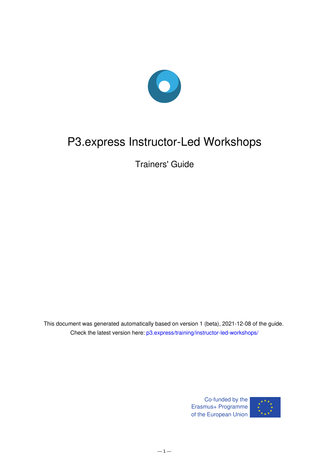

# P3.express Instructor-Led Workshops

Trainers' Guide

This document was generated automatically based on version 1 (beta), 2021-12-08 of the guide. Check the latest version here: [p3.express/training/instructor-led-workshops/](https://p3.express/training/instructor-led-workshops/)

> Co-funded by the Erasmus+ Programme of the European Union



 $-1-$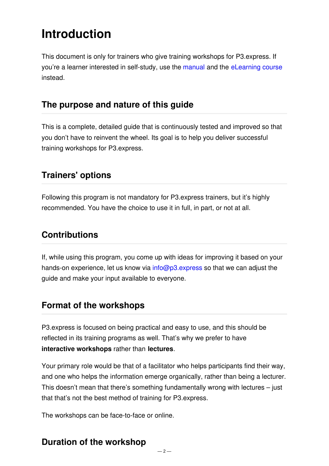# **Introduction**

This document is only for trainers who give training workshops for P3.express. If you're a learner interested in self-study, use the [manual](file:///manual/v2/) and the [eLearning](file:///training/artophile-center/) course instead.

### **The purpose and nature of this guide**

This is a complete, detailed guide that is continuously tested and improved so that you don't have to reinvent the wheel. Its goal is to help you deliver successful training workshops for P3.express.

# **Trainers' options**

Following this program is not mandatory for P3.express trainers, but it's highly recommended. You have the choice to use it in full, in part, or not at all.

# **Contributions**

If, while using this program, you come up with ideas for improving it based on your hands-on experience, let us know via [info@p3.express](mailto:info@p3.express) so that we can adjust the guide and make your input available to everyone.

# **Format of the workshops**

P3.express is focused on being practical and easy to use, and this should be reflected in its training programs as well. That's why we prefer to have **interactive workshops** rather than **lectures**.

Your primary role would be that of a facilitator who helps participants find their way, and one who helps the information emerge organically, rather than being a lecturer. This doesn't mean that there's something fundamentally wrong with lectures – just that that's not the best method of training for P3.express.

The workshops can be face-to-face or online.

# **Duration of the workshop**

 $-2-$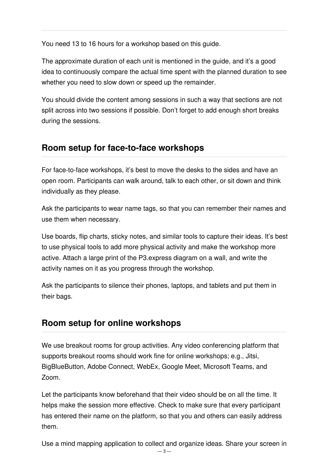You need 13 to 16 hours for a workshop based on this guide.

The approximate duration of each unit is mentioned in the guide, and it's a good idea to continuously compare the actual time spent with the planned duration to see whether you need to slow down or speed up the remainder.

You should divide the content among sessions in such a way that sections are not split across into two sessions if possible. Don't forget to add enough short breaks during the sessions.

# **Room setup for face-to-face workshops**

For face-to-face workshops, it's best to move the desks to the sides and have an open room. Participants can walk around, talk to each other, or sit down and think individually as they please.

Ask the participants to wear name tags, so that you can remember their names and use them when necessary.

Use boards, flip charts, sticky notes, and similar tools to capture their ideas. It's best to use physical tools to add more physical activity and make the workshop more active. Attach a large print of the P3.express diagram on a wall, and write the activity names on it as you progress through the workshop.

Ask the participants to silence their phones, laptops, and tablets and put them in their bags.

# **Room setup for online workshops**

We use breakout rooms for group activities. Any video conferencing platform that supports breakout rooms should work fine for online workshops; e.g., Jitsi, BigBlueButton, Adobe Connect, WebEx, Google Meet, Microsoft Teams, and Zoom.

Let the participants know beforehand that their video should be on all the time. It helps make the session more effective. Check to make sure that every participant has entered their name on the platform, so that you and others can easily address them.

Use a mind mapping application to collect and organize ideas. Share your screen in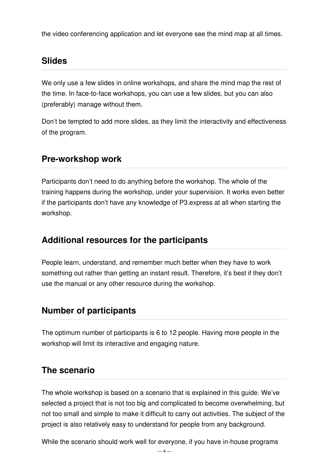the video conferencing application and let everyone see the mind map at all times.

# **Slides**

We only use a few slides in online workshops, and share the mind map the rest of the time. In face-to-face workshops, you can use a few slides, but you can also (preferably) manage without them.

Don't be tempted to add more slides, as they limit the interactivity and effectiveness of the program.

### **Pre-workshop work**

Participants don't need to do anything before the workshop. The whole of the training happens during the workshop, under your supervision. It works even better if the participants don't have any knowledge of P3.express at all when starting the workshop.

### **Additional resources for the participants**

People learn, understand, and remember much better when they have to work something out rather than getting an instant result. Therefore, it's best if they don't use the manual or any other resource during the workshop.

# **Number of participants**

The optimum number of participants is 6 to 12 people. Having more people in the workshop will limit its interactive and engaging nature.

### **The scenario**

The whole workshop is based on a scenario that is explained in this guide. We've selected a project that is not too big and complicated to become overwhelming, but not too small and simple to make it difficult to carry out activities. The subject of the project is also relatively easy to understand for people from any background.

While the scenario should work well for everyone, if you have in-house programs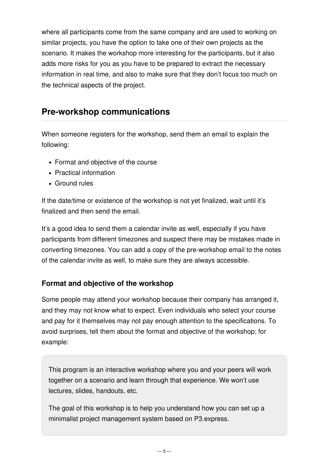where all participants come from the same company and are used to working on similar projects, you have the option to take one of their own projects as the scenario. It makes the workshop more interesting for the participants, but it also adds more risks for you as you have to be prepared to extract the necessary information in real time, and also to make sure that they don't focus too much on the technical aspects of the project.

### **Pre-workshop communications**

When someone registers for the workshop, send them an email to explain the following:

- Format and objective of the course
- Practical information
- Ground rules

If the date/time or existence of the workshop is not yet finalized, wait until it's finalized and then send the email.

It's a good idea to send them a calendar invite as well, especially if you have participants from different timezones and suspect there may be mistakes made in converting timezones. You can add a copy of the pre-workshop email to the notes of the calendar invite as well, to make sure they are always accessible.

#### **Format and objective of the workshop**

Some people may attend your workshop because their company has arranged it, and they may not know what to expect. Even individuals who select your course and pay for it themselves may not pay enough attention to the specifications. To avoid surprises, tell them about the format and objective of the workshop; for example:

This program is an interactive workshop where you and your peers will work together on a scenario and learn through that experience. We won't use lectures, slides, handouts, etc.

The goal of this workshop is to help you understand how you can set up a minimalist project management system based on P3.express.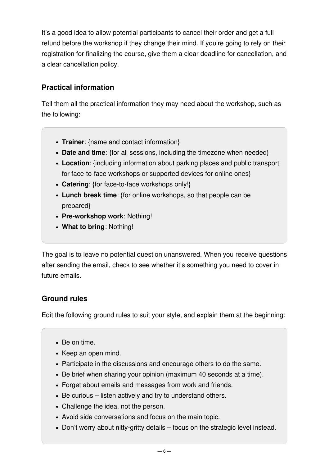It's a good idea to allow potential participants to cancel their order and get a full refund before the workshop if they change their mind. If you're going to rely on their registration for finalizing the course, give them a clear deadline for cancellation, and a clear cancellation policy.

#### **Practical information**

Tell them all the practical information they may need about the workshop, such as the following:

- **Trainer**: {name and contact information}
- **Date and time**: {for all sessions, including the timezone when needed}
- **Location**: {including information about parking places and public transport for face-to-face workshops or supported devices for online ones}
- **Catering**: {for face-to-face workshops only!}
- **Lunch break time**: {for online workshops, so that people can be prepared}
- **Pre-workshop work**: Nothing!
- **What to bring**: Nothing!

The goal is to leave no potential question unanswered. When you receive questions after sending the email, check to see whether it's something you need to cover in future emails.

#### **Ground rules**

Edit the following ground rules to suit your style, and explain them at the beginning:

- Be on time.
- Keep an open mind.
- Participate in the discussions and encourage others to do the same.
- Be brief when sharing your opinion (maximum 40 seconds at a time).
- Forget about emails and messages from work and friends.
- Be curious listen actively and try to understand others.
- Challenge the idea, not the person.
- Avoid side conversations and focus on the main topic.
- Don't worry about nitty-gritty details focus on the strategic level instead.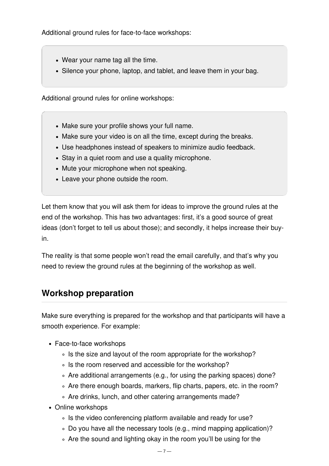Additional ground rules for face-to-face workshops:

- Wear your name tag all the time.
- Silence your phone, laptop, and tablet, and leave them in your bag.

Additional ground rules for online workshops:

- Make sure your profile shows your full name.
- Make sure your video is on all the time, except during the breaks.
- Use headphones instead of speakers to minimize audio feedback.
- Stay in a quiet room and use a quality microphone.
- Mute your microphone when not speaking.
- Leave your phone outside the room.

Let them know that you will ask them for ideas to improve the ground rules at the end of the workshop. This has two advantages: first, it's a good source of great ideas (don't forget to tell us about those); and secondly, it helps increase their buyin.

The reality is that some people won't read the email carefully, and that's why you need to review the ground rules at the beginning of the workshop as well.

# **Workshop preparation**

Make sure everything is prepared for the workshop and that participants will have a smooth experience. For example:

- Face-to-face workshops
	- ∘ Is the size and layout of the room appropriate for the workshop?
	- ∘ Is the room reserved and accessible for the workshop?
	- Are additional arrangements (e.g., for using the parking spaces) done?
	- Are there enough boards, markers, flip charts, papers, etc. in the room?
	- Are drinks, lunch, and other catering arrangements made?
- Online workshops
	- Is the video conferencing platform available and ready for use?
	- Do you have all the necessary tools (e.g., mind mapping application)?
	- Are the sound and lighting okay in the room you'll be using for the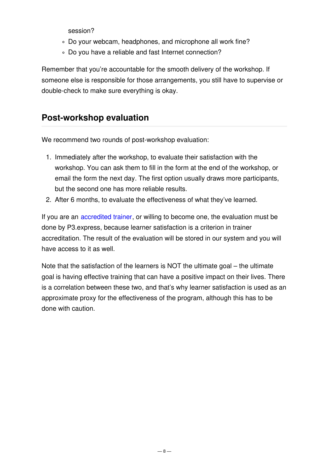session?

- Do your webcam, headphones, and microphone all work fine?
- Do you have a reliable and fast Internet connection?

Remember that you're accountable for the smooth delivery of the workshop. If someone else is responsible for those arrangements, you still have to supervise or double-check to make sure everything is okay.

### **Post-workshop evaluation**

We recommend two rounds of post-workshop evaluation:

- 1. Immediately after the workshop, to evaluate their satisfaction with the workshop. You can ask them to fill in the form at the end of the workshop, or email the form the next day. The first option usually draws more participants, but the second one has more reliable results.
- 2. After 6 months, to evaluate the effectiveness of what they've learned.

If you are an [accredited](file:///training/accreditation/) trainer, or willing to become one, the evaluation must be done by P3.express, because learner satisfaction is a criterion in trainer accreditation. The result of the evaluation will be stored in our system and you will have access to it as well.

Note that the satisfaction of the learners is NOT the ultimate goal – the ultimate goal is having effective training that can have a positive impact on their lives. There is a correlation between these two, and that's why learner satisfaction is used as an approximate proxy for the effectiveness of the program, although this has to be done with caution.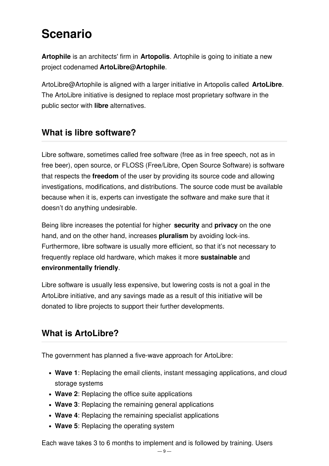# **Scenario**

**Artophile** is an architects' firm in **Artopolis**. Artophile is going to initiate a new project codenamed **ArtoLibre@Artophile**.

ArtoLibre@Artophile is aligned with a larger initiative in Artopolis called **ArtoLibre**. The ArtoLibre initiative is designed to replace most proprietary software in the public sector with **libre** alternatives.

# **What is libre software?**

Libre software, sometimes called free software (free as in free speech, not as in free beer), open source, or FLOSS (Free/Libre, Open Source Software) is software that respects the **freedom** of the user by providing its source code and allowing investigations, modifications, and distributions. The source code must be available because when it is, experts can investigate the software and make sure that it doesn't do anything undesirable.

Being libre increases the potential for higher **security** and **privacy** on the one hand, and on the other hand, increases **pluralism** by avoiding lock-ins. Furthermore, libre software is usually more efficient, so that it's not necessary to frequently replace old hardware, which makes it more **sustainable** and **environmentally friendly**.

Libre software is usually less expensive, but lowering costs is not a goal in the ArtoLibre initiative, and any savings made as a result of this initiative will be donated to libre projects to support their further developments.

# **What is ArtoLibre?**

The government has planned a five-wave approach for ArtoLibre:

- **Wave 1**: Replacing the email clients, instant messaging applications, and cloud storage systems
- **Wave 2**: Replacing the office suite applications
- **Wave 3**: Replacing the remaining general applications
- **Wave 4**: Replacing the remaining specialist applications
- **Wave 5**: Replacing the operating system

Each wave takes 3 to 6 months to implement and is followed by training. Users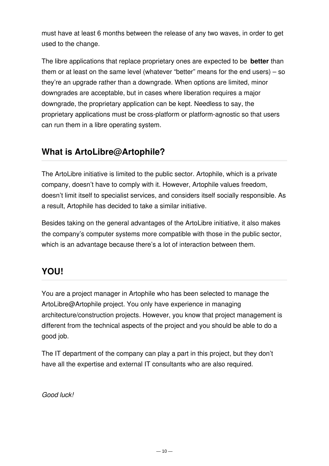must have at least 6 months between the release of any two waves, in order to get used to the change.

The libre applications that replace proprietary ones are expected to be **better** than them or at least on the same level (whatever "better" means for the end users) – so they're an upgrade rather than a downgrade. When options are limited, minor downgrades are acceptable, but in cases where liberation requires a major downgrade, the proprietary application can be kept. Needless to say, the proprietary applications must be cross-platform or platform-agnostic so that users can run them in a libre operating system.

### **What is ArtoLibre@Artophile?**

The ArtoLibre initiative is limited to the public sector. Artophile, which is a private company, doesn't have to comply with it. However, Artophile values freedom, doesn't limit itself to specialist services, and considers itself socially responsible. As a result, Artophile has decided to take a similar initiative.

Besides taking on the general advantages of the ArtoLibre initiative, it also makes the company's computer systems more compatible with those in the public sector, which is an advantage because there's a lot of interaction between them.

# **YOU!**

You are a project manager in Artophile who has been selected to manage the ArtoLibre@Artophile project. You only have experience in managing architecture/construction projects. However, you know that project management is different from the technical aspects of the project and you should be able to do a good job.

The IT department of the company can play a part in this project, but they don't have all the expertise and external IT consultants who are also required.

*Good luck!*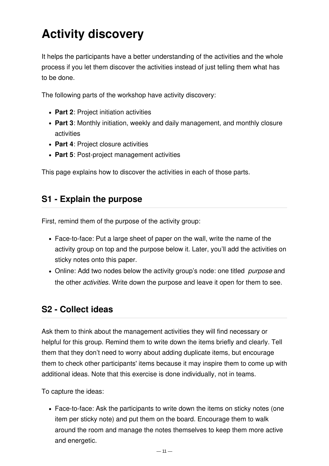# **Activity discovery**

It helps the participants have a better understanding of the activities and the whole process if you let them discover the activities instead of just telling them what has to be done.

The following parts of the workshop have activity discovery:

- **Part 2**: Project initiation activities
- **Part 3**: Monthly initiation, weekly and daily management, and monthly closure activities
- **Part 4**: Project closure activities
- **Part 5**: Post-project management activities

This page explains how to discover the activities in each of those parts.

### **S1 - Explain the purpose**

First, remind them of the purpose of the activity group:

- Face-to-face: Put a large sheet of paper on the wall, write the name of the activity group on top and the purpose below it. Later, you'll add the activities on sticky notes onto this paper.
- Online: Add two nodes below the activity group's node: one titled *purpose* and the other *activities*. Write down the purpose and leave it open for them to see.

# **S2 - Collect ideas**

Ask them to think about the management activities they will find necessary or helpful for this group. Remind them to write down the items briefly and clearly. Tell them that they don't need to worry about adding duplicate items, but encourage them to check other participants' items because it may inspire them to come up with additional ideas. Note that this exercise is done individually, not in teams.

To capture the ideas:

Face-to-face: Ask the participants to write down the items on sticky notes (one item per sticky note) and put them on the board. Encourage them to walk around the room and manage the notes themselves to keep them more active and energetic.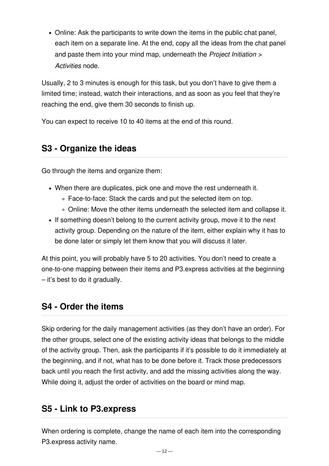Online: Ask the participants to write down the items in the public chat panel, each item on a separate line. At the end, copy all the ideas from the chat panel and paste them into your mind map, underneath the *Project Initiation > Activities* node.

Usually, 2 to 3 minutes is enough for this task, but you don't have to give them a limited time; instead, watch their interactions, and as soon as you feel that they're reaching the end, give them 30 seconds to finish up.

You can expect to receive 10 to 40 items at the end of this round.

### **S3 - Organize the ideas**

Go through the items and organize them:

- When there are duplicates, pick one and move the rest underneath it.
	- Face-to-face: Stack the cards and put the selected item on top.
	- Online: Move the other items underneath the selected item and collapse it.
- If something doesn't belong to the current activity group, move it to the next activity group. Depending on the nature of the item, either explain why it has to be done later or simply let them know that you will discuss it later.

At this point, you will probably have 5 to 20 activities. You don't need to create a one-to-one mapping between their items and P3.express activities at the beginning – it's best to do it gradually.

### **S4 - Order the items**

Skip ordering for the daily management activities (as they don't have an order). For the other groups, select one of the existing activity ideas that belongs to the middle of the activity group. Then, ask the participants if it's possible to do it immediately at the beginning, and if not, what has to be done before it. Track those predecessors back until you reach the first activity, and add the missing activities along the way. While doing it, adjust the order of activities on the board or mind map.

#### **S5 - Link to P3.express**

When ordering is complete, change the name of each item into the corresponding P3.express activity name.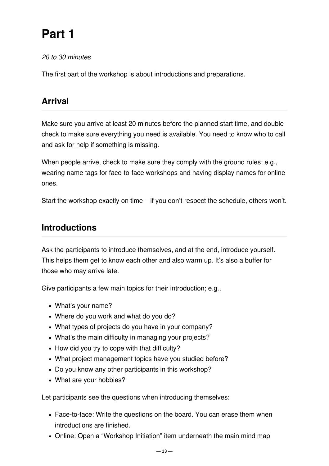# **Part 1**

*20 to 30 minutes*

The first part of the workshop is about introductions and preparations.

# **Arrival**

Make sure you arrive at least 20 minutes before the planned start time, and double check to make sure everything you need is available. You need to know who to call and ask for help if something is missing.

When people arrive, check to make sure they comply with the ground rules; e.g., wearing name tags for face-to-face workshops and having display names for online ones.

Start the workshop exactly on time – if you don't respect the schedule, others won't.

# **Introductions**

Ask the participants to introduce themselves, and at the end, introduce yourself. This helps them get to know each other and also warm up. It's also a buffer for those who may arrive late.

Give participants a few main topics for their introduction; e.g.,

- What's your name?
- Where do you work and what do you do?
- What types of projects do you have in your company?
- What's the main difficulty in managing your projects?
- How did you try to cope with that difficulty?
- What project management topics have you studied before?
- Do you know any other participants in this workshop?
- What are your hobbies?

Let participants see the questions when introducing themselves:

- Face-to-face: Write the questions on the board. You can erase them when introductions are finished.
- Online: Open a "Workshop Initiation" item underneath the main mind map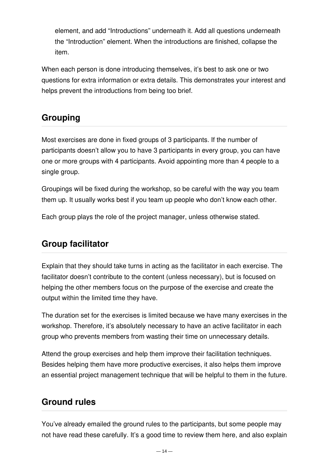element, and add "Introductions" underneath it. Add all questions underneath the "Introduction" element. When the introductions are finished, collapse the item.

When each person is done introducing themselves, it's best to ask one or two questions for extra information or extra details. This demonstrates your interest and helps prevent the introductions from being too brief.

# **Grouping**

Most exercises are done in fixed groups of 3 participants. If the number of participants doesn't allow you to have 3 participants in every group, you can have one or more groups with 4 participants. Avoid appointing more than 4 people to a single group.

Groupings will be fixed during the workshop, so be careful with the way you team them up. It usually works best if you team up people who don't know each other.

Each group plays the role of the project manager, unless otherwise stated.

# **Group facilitator**

Explain that they should take turns in acting as the facilitator in each exercise. The facilitator doesn't contribute to the content (unless necessary), but is focused on helping the other members focus on the purpose of the exercise and create the output within the limited time they have.

The duration set for the exercises is limited because we have many exercises in the workshop. Therefore, it's absolutely necessary to have an active facilitator in each group who prevents members from wasting their time on unnecessary details.

Attend the group exercises and help them improve their facilitation techniques. Besides helping them have more productive exercises, it also helps them improve an essential project management technique that will be helpful to them in the future.

# **Ground rules**

You've already emailed the ground rules to the participants, but some people may not have read these carefully. It's a good time to review them here, and also explain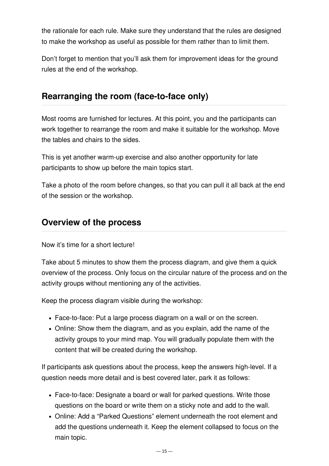the rationale for each rule. Make sure they understand that the rules are designed to make the workshop as useful as possible for them rather than to limit them.

Don't forget to mention that you'll ask them for improvement ideas for the ground rules at the end of the workshop.

# **Rearranging the room (face-to-face only)**

Most rooms are furnished for lectures. At this point, you and the participants can work together to rearrange the room and make it suitable for the workshop. Move the tables and chairs to the sides.

This is yet another warm-up exercise and also another opportunity for late participants to show up before the main topics start.

Take a photo of the room before changes, so that you can pull it all back at the end of the session or the workshop.

### **Overview of the process**

Now it's time for a short lecture!

Take about 5 minutes to show them the process diagram, and give them a quick overview of the process. Only focus on the circular nature of the process and on the activity groups without mentioning any of the activities.

Keep the process diagram visible during the workshop:

- Face-to-face: Put a large process diagram on a wall or on the screen.
- Online: Show them the diagram, and as you explain, add the name of the activity groups to your mind map. You will gradually populate them with the content that will be created during the workshop.

If participants ask questions about the process, keep the answers high-level. If a question needs more detail and is best covered later, park it as follows:

- Face-to-face: Designate a board or wall for parked questions. Write those questions on the board or write them on a sticky note and add to the wall.
- Online: Add a "Parked Questions" element underneath the root element and add the questions underneath it. Keep the element collapsed to focus on the main topic.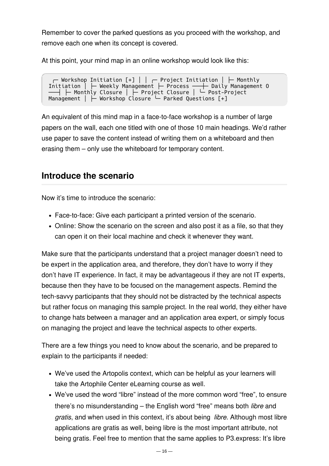Remember to cover the parked questions as you proceed with the workshop, and remove each one when its concept is covered.

At this point, your mind map in an online workshop would look like this:

╭─ Workshop Initiation [+] │ │ ╭─ Project Initiation │ ├─ Monthly Initiation │ ├─ Weekly Management ├─ Process ───┼─ Daily Management O ──┤ ├─ Monthly Closure | ├─ Project Closure | └─ Post-Project Management | ⊢ Workshop Closure – Parked Questions [+]

An equivalent of this mind map in a face-to-face workshop is a number of large papers on the wall, each one titled with one of those 10 main headings. We'd rather use paper to save the content instead of writing them on a whiteboard and then erasing them – only use the whiteboard for temporary content.

### **Introduce the scenario**

Now it's time to introduce the scenario:

- Face-to-face: Give each participant a printed version of the scenario.
- Online: Show the scenario on the screen and also post it as a file, so that they can open it on their local machine and check it whenever they want.

Make sure that the participants understand that a project manager doesn't need to be expert in the application area, and therefore, they don't have to worry if they don't have IT experience. In fact, it may be advantageous if they are not IT experts, because then they have to be focused on the management aspects. Remind the tech-savvy participants that they should not be distracted by the technical aspects but rather focus on managing this sample project. In the real world, they either have to change hats between a manager and an application area expert, or simply focus on managing the project and leave the technical aspects to other experts.

There are a few things you need to know about the scenario, and be prepared to explain to the participants if needed:

- We've used the Artopolis context, which can be helpful as your learners will take the Artophile Center eLearning course as well.
- We've used the word "libre" instead of the more common word "free", to ensure there's no misunderstanding – the English word "free" means both *libre* and *gratis*, and when used in this context, it's about being *libre*. Although most libre applications are gratis as well, being libre is the most important attribute, not being gratis. Feel free to mention that the same applies to P3.express: It's libre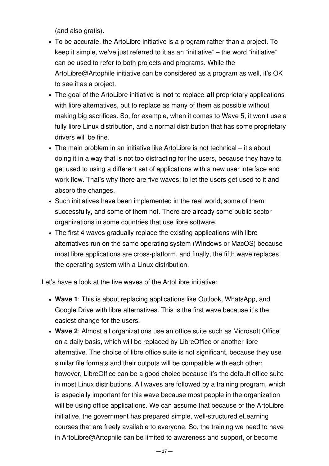(and also gratis).

- To be accurate, the ArtoLibre initiative is a program rather than a project. To keep it simple, we've just referred to it as an "initiative" – the word "initiative" can be used to refer to both projects and programs. While the ArtoLibre@Artophile initiative can be considered as a program as well, it's OK to see it as a project.
- The goal of the ArtoLibre initiative is **not** to replace **all** proprietary applications with libre alternatives, but to replace as many of them as possible without making big sacrifices. So, for example, when it comes to Wave 5, it won't use a fully libre Linux distribution, and a normal distribution that has some proprietary drivers will be fine.
- The main problem in an initiative like ArtoLibre is not technical it's about doing it in a way that is not too distracting for the users, because they have to get used to using a different set of applications with a new user interface and work flow. That's why there are five waves: to let the users get used to it and absorb the changes.
- Such initiatives have been implemented in the real world; some of them successfully, and some of them not. There are already some public sector organizations in some countries that use libre software.
- The first 4 waves gradually replace the existing applications with libre alternatives run on the same operating system (Windows or MacOS) because most libre applications are cross-platform, and finally, the fifth wave replaces the operating system with a Linux distribution.

Let's have a look at the five waves of the ArtoLibre initiative:

- **Wave 1**: This is about replacing applications like Outlook, WhatsApp, and Google Drive with libre alternatives. This is the first wave because it's the easiest change for the users.
- **Wave 2**: Almost all organizations use an office suite such as Microsoft Office on a daily basis, which will be replaced by LibreOffice or another libre alternative. The choice of libre office suite is not significant, because they use similar file formats and their outputs will be compatible with each other; however, LibreOffice can be a good choice because it's the default office suite in most Linux distributions. All waves are followed by a training program, which is especially important for this wave because most people in the organization will be using office applications. We can assume that because of the ArtoLibre initiative, the government has prepared simple, well-structured eLearning courses that are freely available to everyone. So, the training we need to have in ArtoLibre@Artophile can be limited to awareness and support, or become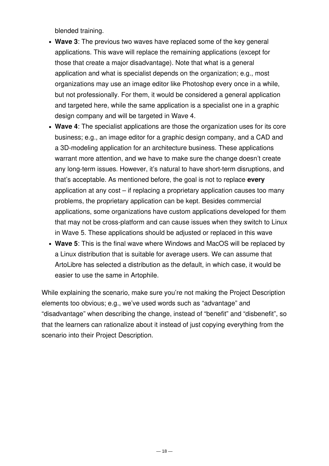blended training.

- **Wave 3**: The previous two waves have replaced some of the key general applications. This wave will replace the remaining applications (except for those that create a major disadvantage). Note that what is a general application and what is specialist depends on the organization; e.g., most organizations may use an image editor like Photoshop every once in a while, but not professionally. For them, it would be considered a general application and targeted here, while the same application is a specialist one in a graphic design company and will be targeted in Wave 4.
- **Wave 4**: The specialist applications are those the organization uses for its core business; e.g., an image editor for a graphic design company, and a CAD and a 3D-modeling application for an architecture business. These applications warrant more attention, and we have to make sure the change doesn't create any long-term issues. However, it's natural to have short-term disruptions, and that's acceptable. As mentioned before, the goal is not to replace **every** application at any cost – if replacing a proprietary application causes too many problems, the proprietary application can be kept. Besides commercial applications, some organizations have custom applications developed for them that may not be cross-platform and can cause issues when they switch to Linux in Wave 5. These applications should be adjusted or replaced in this wave
- **Wave 5**: This is the final wave where Windows and MacOS will be replaced by a Linux distribution that is suitable for average users. We can assume that ArtoLibre has selected a distribution as the default, in which case, it would be easier to use the same in Artophile.

While explaining the scenario, make sure you're not making the Project Description elements too obvious; e.g., we've used words such as "advantage" and "disadvantage" when describing the change, instead of "benefit" and "disbenefit", so that the learners can rationalize about it instead of just copying everything from the scenario into their Project Description.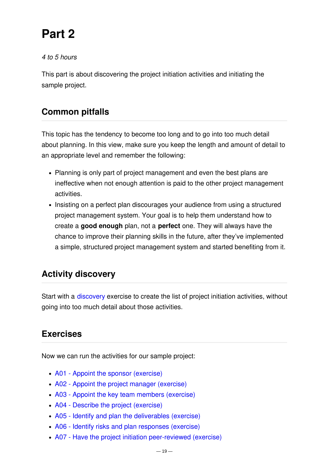# **Part 2**

#### *4 to 5 hours*

This part is about discovering the project initiation activities and initiating the sample project.

# **Common pitfalls**

This topic has the tendency to become too long and to go into too much detail about planning. In this view, make sure you keep the length and amount of detail to an appropriate level and remember the following:

- Planning is only part of project management and even the best plans are ineffective when not enough attention is paid to the other project management activities.
- Insisting on a perfect plan discourages your audience from using a structured project management system. Your goal is to help them understand how to create a **good enough** plan, not a **perfect** one. They will always have the chance to improve their planning skills in the future, after they've implemented a simple, structured project management system and started benefiting from it.

# **Activity discovery**

Start with a [discovery](file:///mnt/int2/websites/p3.express/hugo.p3.express/public/training/instructor-led-workshops/discovery/) exercise to create the list of project initiation activities, without going into too much detail about those activities.

### **Exercises**

Now we can run the activities for our sample project:

- A01 Appoint the sponsor [\(exercise\)](#page-19-0)
- A02 Appoint the project manager [\(exercise\)](#page-20-0)
- A03 Appoint the key team members [\(exercise\)](#page-20-1)
- A04 Describe the project [\(exercise\)](#page-21-0)
- A05 Identify and plan the [deliverables](#page-25-0) (exercise)
- A06 Identify risks and plan [responses](#page-30-0) (exercise)
- A07 Have the project initiation [peer-reviewed](#page-33-0) (exercise)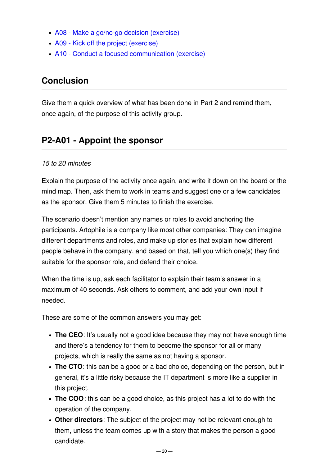- A08 Make a go/no-go decision [\(exercise\)](#page-34-0)
- A09 Kick off the project [\(exercise\)](#page-34-1)
- A10 Conduct a focused [communication](#page-35-0) (exercise)

# **Conclusion**

Give them a quick overview of what has been done in Part 2 and remind them, once again, of the purpose of this activity group.

# <span id="page-19-0"></span>**P2-A01 - Appoint the sponsor**

#### *15 to 20 minutes*

Explain the purpose of the activity once again, and write it down on the board or the mind map. Then, ask them to work in teams and suggest one or a few candidates as the sponsor. Give them 5 minutes to finish the exercise.

The scenario doesn't mention any names or roles to avoid anchoring the participants. Artophile is a company like most other companies: They can imagine different departments and roles, and make up stories that explain how different people behave in the company, and based on that, tell you which one(s) they find suitable for the sponsor role, and defend their choice.

When the time is up, ask each facilitator to explain their team's answer in a maximum of 40 seconds. Ask others to comment, and add your own input if needed.

These are some of the common answers you may get:

- **The CEO**: It's usually not a good idea because they may not have enough time and there's a tendency for them to become the sponsor for all or many projects, which is really the same as not having a sponsor.
- **The CTO**: this can be a good or a bad choice, depending on the person, but in general, it's a little risky because the IT department is more like a supplier in this project.
- **The COO**: this can be a good choice, as this project has a lot to do with the operation of the company.
- **Other directors**: The subject of the project may not be relevant enough to them, unless the team comes up with a story that makes the person a good candidate.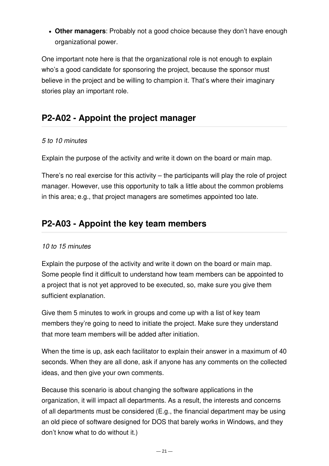**Other managers**: Probably not a good choice because they don't have enough organizational power.

One important note here is that the organizational role is not enough to explain who's a good candidate for sponsoring the project, because the sponsor must believe in the project and be willing to champion it. That's where their imaginary stories play an important role.

# <span id="page-20-0"></span>**P2-A02 - Appoint the project manager**

#### *5 to 10 minutes*

Explain the purpose of the activity and write it down on the board or main map.

There's no real exercise for this activity – the participants will play the role of project manager. However, use this opportunity to talk a little about the common problems in this area; e.g., that project managers are sometimes appointed too late.

# <span id="page-20-1"></span>**P2-A03 - Appoint the key team members**

#### *10 to 15 minutes*

Explain the purpose of the activity and write it down on the board or main map. Some people find it difficult to understand how team members can be appointed to a project that is not yet approved to be executed, so, make sure you give them sufficient explanation.

Give them 5 minutes to work in groups and come up with a list of key team members they're going to need to initiate the project. Make sure they understand that more team members will be added after initiation.

When the time is up, ask each facilitator to explain their answer in a maximum of 40 seconds. When they are all done, ask if anyone has any comments on the collected ideas, and then give your own comments.

Because this scenario is about changing the software applications in the organization, it will impact all departments. As a result, the interests and concerns of all departments must be considered (E.g., the financial department may be using an old piece of software designed for DOS that barely works in Windows, and they don't know what to do without it.)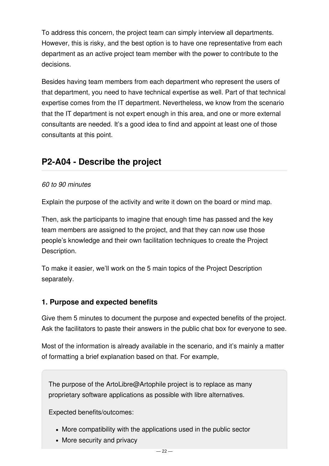To address this concern, the project team can simply interview all departments. However, this is risky, and the best option is to have one representative from each department as an active project team member with the power to contribute to the decisions.

Besides having team members from each department who represent the users of that department, you need to have technical expertise as well. Part of that technical expertise comes from the IT department. Nevertheless, we know from the scenario that the IT department is not expert enough in this area, and one or more external consultants are needed. It's a good idea to find and appoint at least one of those consultants at this point.

# <span id="page-21-0"></span>**P2-A04 - Describe the project**

#### *60 to 90 minutes*

Explain the purpose of the activity and write it down on the board or mind map.

Then, ask the participants to imagine that enough time has passed and the key team members are assigned to the project, and that they can now use those people's knowledge and their own facilitation techniques to create the Project Description.

To make it easier, we'll work on the 5 main topics of the Project Description separately.

#### **1. Purpose and expected benefits**

Give them 5 minutes to document the purpose and expected benefits of the project. Ask the facilitators to paste their answers in the public chat box for everyone to see.

Most of the information is already available in the scenario, and it's mainly a matter of formatting a brief explanation based on that. For example,

The purpose of the ArtoLibre@Artophile project is to replace as many proprietary software applications as possible with libre alternatives.

Expected benefits/outcomes:

- More compatibility with the applications used in the public sector
- More security and privacy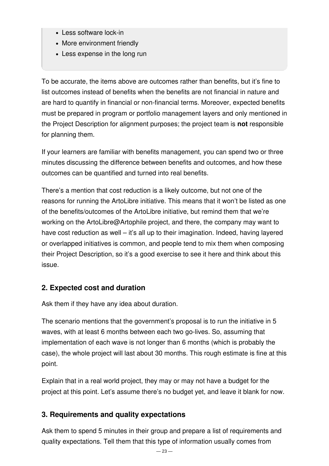- Less software lock-in
- More environment friendly
- Less expense in the long run

To be accurate, the items above are outcomes rather than benefits, but it's fine to list outcomes instead of benefits when the benefits are not financial in nature and are hard to quantify in financial or non-financial terms. Moreover, expected benefits must be prepared in program or portfolio management layers and only mentioned in the Project Description for alignment purposes; the project team is **not** responsible for planning them.

If your learners are familiar with benefits management, you can spend two or three minutes discussing the difference between benefits and outcomes, and how these outcomes can be quantified and turned into real benefits.

There's a mention that cost reduction is a likely outcome, but not one of the reasons for running the ArtoLibre initiative. This means that it won't be listed as one of the benefits/outcomes of the ArtoLibre initiative, but remind them that we're working on the ArtoLibre@Artophile project, and there, the company may want to have cost reduction as well – it's all up to their imagination. Indeed, having layered or overlapped initiatives is common, and people tend to mix them when composing their Project Description, so it's a good exercise to see it here and think about this issue.

#### **2. Expected cost and duration**

Ask them if they have any idea about duration.

The scenario mentions that the government's proposal is to run the initiative in 5 waves, with at least 6 months between each two go-lives. So, assuming that implementation of each wave is not longer than 6 months (which is probably the case), the whole project will last about 30 months. This rough estimate is fine at this point.

Explain that in a real world project, they may or may not have a budget for the project at this point. Let's assume there's no budget yet, and leave it blank for now.

### **3. Requirements and quality expectations**

Ask them to spend 5 minutes in their group and prepare a list of requirements and quality expectations. Tell them that this type of information usually comes from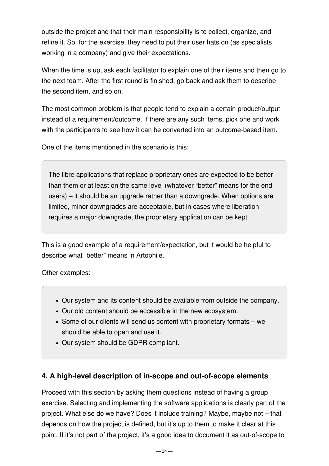outside the project and that their main responsibility is to collect, organize, and refine it. So, for the exercise, they need to put their user hats on (as specialists working in a company) and give their expectations.

When the time is up, ask each facilitator to explain one of their items and then go to the next team. After the first round is finished, go back and ask them to describe the second item, and so on.

The most common problem is that people tend to explain a certain product/output instead of a requirement/outcome. If there are any such items, pick one and work with the participants to see how it can be converted into an outcome-based item.

One of the items mentioned in the scenario is this:

The libre applications that replace proprietary ones are expected to be better than them or at least on the same level (whatever "better" means for the end users) – it should be an upgrade rather than a downgrade. When options are limited, minor downgrades are acceptable, but in cases where liberation requires a major downgrade, the proprietary application can be kept.

This is a good example of a requirement/expectation, but it would be helpful to describe what "better" means in Artophile.

Other examples:

- Our system and its content should be available from outside the company.
- Our old content should be accessible in the new ecosystem.
- Some of our clients will send us content with proprietary formats we should be able to open and use it.
- Our system should be GDPR compliant.

#### **4. A high-level description of in-scope and out-of-scope elements**

Proceed with this section by asking them questions instead of having a group exercise. Selecting and implementing the software applications is clearly part of the project. What else do we have? Does it include training? Maybe, maybe not – that depends on how the project is defined, but it's up to them to make it clear at this point. If it's not part of the project, it's a good idea to document it as out-of-scope to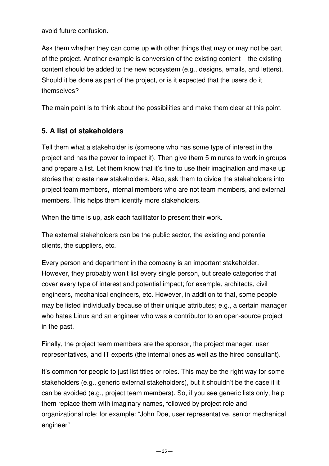avoid future confusion.

Ask them whether they can come up with other things that may or may not be part of the project. Another example is conversion of the existing content – the existing content should be added to the new ecosystem (e.g., designs, emails, and letters). Should it be done as part of the project, or is it expected that the users do it themselves?

The main point is to think about the possibilities and make them clear at this point.

#### **5. A list of stakeholders**

Tell them what a stakeholder is (someone who has some type of interest in the project and has the power to impact it). Then give them 5 minutes to work in groups and prepare a list. Let them know that it's fine to use their imagination and make up stories that create new stakeholders. Also, ask them to divide the stakeholders into project team members, internal members who are not team members, and external members. This helps them identify more stakeholders.

When the time is up, ask each facilitator to present their work.

The external stakeholders can be the public sector, the existing and potential clients, the suppliers, etc.

Every person and department in the company is an important stakeholder. However, they probably won't list every single person, but create categories that cover every type of interest and potential impact; for example, architects, civil engineers, mechanical engineers, etc. However, in addition to that, some people may be listed individually because of their unique attributes; e.g., a certain manager who hates Linux and an engineer who was a contributor to an open-source project in the past.

Finally, the project team members are the sponsor, the project manager, user representatives, and IT experts (the internal ones as well as the hired consultant).

It's common for people to just list titles or roles. This may be the right way for some stakeholders (e.g., generic external stakeholders), but it shouldn't be the case if it can be avoided (e.g., project team members). So, if you see generic lists only, help them replace them with imaginary names, followed by project role and organizational role; for example: "John Doe, user representative, senior mechanical engineer"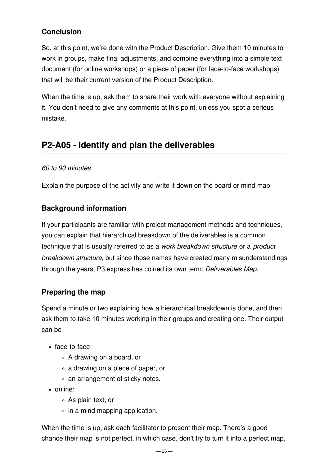### **Conclusion**

So, at this point, we're done with the Product Description. Give them 10 minutes to work in groups, make final adjustments, and combine everything into a simple text document (for online workshops) or a piece of paper (for face-to-face workshops) that will be their current version of the Product Description.

When the time is up, ask them to share their work with everyone without explaining it. You don't need to give any comments at this point, unless you spot a serious mistake.

# <span id="page-25-0"></span>**P2-A05 - Identify and plan the deliverables**

#### *60 to 90 minutes*

Explain the purpose of the activity and write it down on the board or mind map.

#### **Background information**

If your participants are familiar with project management methods and techniques, you can explain that hierarchical breakdown of the deliverables is a common technique that is usually referred to as a *work breakdown structure* or a *product breakdown structure*, but since those names have created many misunderstandings through the years, P3.express has coined its own term: *Deliverables Map*.

#### **Preparing the map**

Spend a minute or two explaining how a hierarchical breakdown is done, and then ask them to take 10 minutes working in their groups and creating one. Their output can be

- face-to-face:
	- A drawing on a board, or
	- a drawing on a piece of paper, or
	- an arrangement of sticky notes.
- online:
	- As plain text, or
	- $\circ$  in a mind mapping application.

When the time is up, ask each facilitator to present their map. There's a good chance their map is not perfect, in which case, don't try to turn it into a perfect map,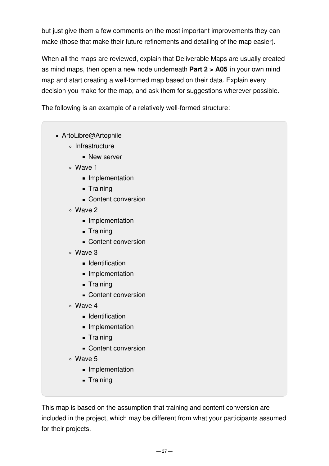but just give them a few comments on the most important improvements they can make (those that make their future refinements and detailing of the map easier).

When all the maps are reviewed, explain that Deliverable Maps are usually created as mind maps, then open a new node underneath **Part 2 > A05** in your own mind map and start creating a well-formed map based on their data. Explain every decision you make for the map, and ask them for suggestions wherever possible.

The following is an example of a relatively well-formed structure:

- ArtoLibre@Artophile
	- ∘ Infrastructure
		- New server
	- Wave 1
		- **Implementation**
		- **Training**
		- Content conversion
	- Wave 2
		- Implementation
		- **Training**
		- Content conversion
	- Wave 3
		- **Identification**
		- **Implementation**
		- **Training**
		- Content conversion
	- Wave 4
		- **I**dentification
		- **Implementation**
		- **Training**
		- Content conversion
	- Wave 5
		- **Implementation**
		- **-** Training

This map is based on the assumption that training and content conversion are included in the project, which may be different from what your participants assumed for their projects.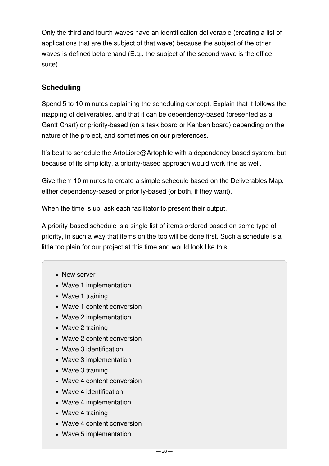Only the third and fourth waves have an identification deliverable (creating a list of applications that are the subject of that wave) because the subject of the other waves is defined beforehand (E.g., the subject of the second wave is the office suite).

#### **Scheduling**

Spend 5 to 10 minutes explaining the scheduling concept. Explain that it follows the mapping of deliverables, and that it can be dependency-based (presented as a Gantt Chart) or priority-based (on a task board or Kanban board) depending on the nature of the project, and sometimes on our preferences.

It's best to schedule the ArtoLibre@Artophile with a dependency-based system, but because of its simplicity, a priority-based approach would work fine as well.

Give them 10 minutes to create a simple schedule based on the Deliverables Map, either dependency-based or priority-based (or both, if they want).

When the time is up, ask each facilitator to present their output.

A priority-based schedule is a single list of items ordered based on some type of priority, in such a way that items on the top will be done first. Such a schedule is a little too plain for our project at this time and would look like this:

- New server
- Wave 1 implementation
- Wave 1 training
- Wave 1 content conversion
- Wave 2 implementation
- Wave 2 training
- Wave 2 content conversion
- Wave 3 identification
- Wave 3 implementation
- Wave 3 training
- Wave 4 content conversion
- Wave 4 identification
- Wave 4 implementation
- Wave 4 training
- Wave 4 content conversion
- Wave 5 implementation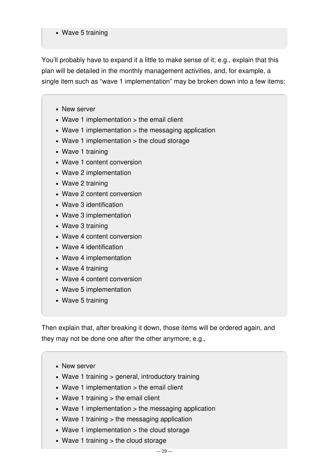#### • Wave 5 training

You'll probably have to expand it a little to make sense of it; e.g., explain that this plan will be detailed in the monthly management activities, and, for example, a single item such as "wave 1 implementation" may be broken down into a few items:

- New server
- Wave 1 implementation > the email client
- Wave 1 implementation > the messaging application
- Wave 1 implementation > the cloud storage
- Wave 1 training
- Wave 1 content conversion
- Wave 2 implementation
- Wave 2 training
- Wave 2 content conversion
- Wave 3 identification
- Wave 3 implementation
- Wave 3 training
- Wave 4 content conversion
- Wave 4 identification
- Wave 4 implementation
- Wave 4 training
- Wave 4 content conversion
- Wave 5 implementation
- Wave 5 training

Then explain that, after breaking it down, those items will be ordered again, and they may not be done one after the other anymore; e.g.,

- New server
- Wave 1 training > general, introductory training
- Wave 1 implementation > the email client
- Wave 1 training  $>$  the email client
- Wave 1 implementation > the messaging application
- Wave 1 training > the messaging application
- Wave 1 implementation > the cloud storage
- Wave 1 training > the cloud storage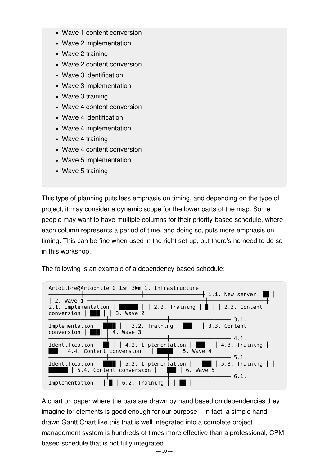- Wave 1 content conversion
- Wave 2 implementation
- Wave 2 training
- Wave 2 content conversion
- Wave 3 identification
- Wave 3 implementation
- Wave 3 training
- Wave 4 content conversion
- Wave 4 identification
- Wave 4 implementation
- Wave 4 training
- Wave 4 content conversion
- Wave 5 implementation
- Wave 5 training

This type of planning puts less emphasis on timing, and depending on the type of project, it may consider a dynamic scope for the lower parts of the map. Some people may want to have multiple columns for their priority-based schedule, where each column represents a period of time, and doing so, puts more emphasis on timing. This can be fine when used in the right set-up, but there's no need to do so in this workshop.

The following is an example of a dependency-based schedule:



A chart on paper where the bars are drawn by hand based on dependencies they imagine for elements is good enough for our purpose – in fact, a simple handdrawn Gantt Chart like this that is well integrated into a complete project management system is hundreds of times more effective than a professional, CPMbased schedule that is not fully integrated.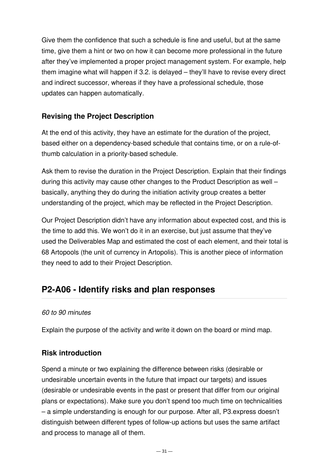Give them the confidence that such a schedule is fine and useful, but at the same time, give them a hint or two on how it can become more professional in the future after they've implemented a proper project management system. For example, help them imagine what will happen if 3.2. is delayed – they'll have to revise every direct and indirect successor, whereas if they have a professional schedule, those updates can happen automatically.

#### **Revising the Project Description**

At the end of this activity, they have an estimate for the duration of the project, based either on a dependency-based schedule that contains time, or on a rule-ofthumb calculation in a priority-based schedule.

Ask them to revise the duration in the Project Description. Explain that their findings during this activity may cause other changes to the Product Description as well – basically, anything they do during the initiation activity group creates a better understanding of the project, which may be reflected in the Project Description.

Our Project Description didn't have any information about expected cost, and this is the time to add this. We won't do it in an exercise, but just assume that they've used the Deliverables Map and estimated the cost of each element, and their total is 68 Artopools (the unit of currency in Artopolis). This is another piece of information they need to add to their Project Description.

# <span id="page-30-0"></span>**P2-A06 - Identify risks and plan responses**

#### *60 to 90 minutes*

Explain the purpose of the activity and write it down on the board or mind map.

#### **Risk introduction**

Spend a minute or two explaining the difference between risks (desirable or undesirable uncertain events in the future that impact our targets) and issues (desirable or undesirable events in the past or present that differ from our original plans or expectations). Make sure you don't spend too much time on technicalities – a simple understanding is enough for our purpose. After all, P3.express doesn't distinguish between different types of follow-up actions but uses the same artifact and process to manage all of them.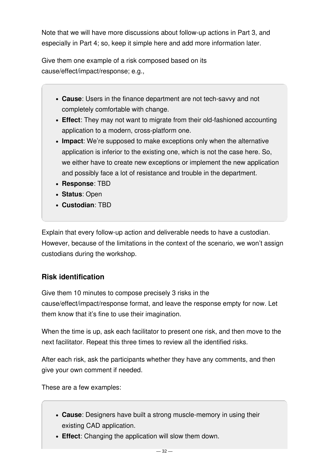Note that we will have more discussions about follow-up actions in Part 3, and especially in Part 4; so, keep it simple here and add more information later.

Give them one example of a risk composed based on its cause/effect/impact/response; e.g.,

- **Cause**: Users in the finance department are not tech-savvy and not completely comfortable with change.
- **Effect**: They may not want to migrate from their old-fashioned accounting application to a modern, cross-platform one.
- **Impact**: We're supposed to make exceptions only when the alternative application is inferior to the existing one, which is not the case here. So, we either have to create new exceptions or implement the new application and possibly face a lot of resistance and trouble in the department.
- **Response**: TBD
- **Status**: Open
- **Custodian**: TBD

Explain that every follow-up action and deliverable needs to have a custodian. However, because of the limitations in the context of the scenario, we won't assign custodians during the workshop.

### **Risk identification**

Give them 10 minutes to compose precisely 3 risks in the cause/effect/impact/response format, and leave the response empty for now. Let them know that it's fine to use their imagination.

When the time is up, ask each facilitator to present one risk, and then move to the next facilitator. Repeat this three times to review all the identified risks.

After each risk, ask the participants whether they have any comments, and then give your own comment if needed.

These are a few examples:

- **Cause**: Designers have built a strong muscle-memory in using their existing CAD application.
- **Effect**: Changing the application will slow them down.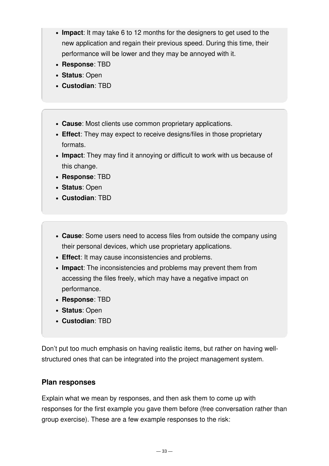- **Impact**: It may take 6 to 12 months for the designers to get used to the new application and regain their previous speed. During this time, their performance will be lower and they may be annoyed with it.
- **Response**: TBD
- **Status**: Open
- **Custodian**: TBD
- **Cause**: Most clients use common proprietary applications.
- **Effect**: They may expect to receive designs/files in those proprietary formats.
- **Impact**: They may find it annoying or difficult to work with us because of this change.
- **Response**: TBD
- **Status**: Open
- **Custodian**: TBD
- **Cause**: Some users need to access files from outside the company using their personal devices, which use proprietary applications.
- **Effect**: It may cause inconsistencies and problems.
- **Impact**: The inconsistencies and problems may prevent them from accessing the files freely, which may have a negative impact on performance.
- **Response**: TBD
- **Status**: Open
- **Custodian**: TBD

Don't put too much emphasis on having realistic items, but rather on having wellstructured ones that can be integrated into the project management system.

#### **Plan responses**

Explain what we mean by responses, and then ask them to come up with responses for the first example you gave them before (free conversation rather than group exercise). These are a few example responses to the risk: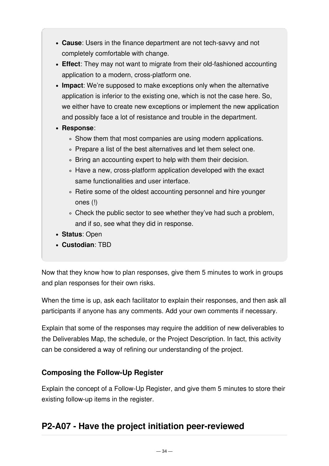- **Cause**: Users in the finance department are not tech-savvy and not completely comfortable with change.
- **Effect**: They may not want to migrate from their old-fashioned accounting application to a modern, cross-platform one.
- **Impact**: We're supposed to make exceptions only when the alternative application is inferior to the existing one, which is not the case here. So, we either have to create new exceptions or implement the new application and possibly face a lot of resistance and trouble in the department.
- **Response**:
	- . Show them that most companies are using modern applications.
	- . Prepare a list of the best alternatives and let them select one.
	- Bring an accounting expert to help with them their decision.
	- Have a new, cross-platform application developed with the exact same functionalities and user interface.
	- Retire some of the oldest accounting personnel and hire younger ones (!)
	- Check the public sector to see whether they've had such a problem, and if so, see what they did in response.
- **Status**: Open
- **Custodian**: TBD

Now that they know how to plan responses, give them 5 minutes to work in groups and plan responses for their own risks.

When the time is up, ask each facilitator to explain their responses, and then ask all participants if anyone has any comments. Add your own comments if necessary.

Explain that some of the responses may require the addition of new deliverables to the Deliverables Map, the schedule, or the Project Description. In fact, this activity can be considered a way of refining our understanding of the project.

#### **Composing the Follow-Up Register**

Explain the concept of a Follow-Up Register, and give them 5 minutes to store their existing follow-up items in the register.

# <span id="page-33-0"></span>**P2-A07 - Have the project initiation peer-reviewed**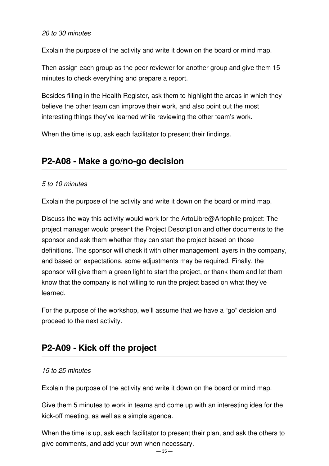#### *20 to 30 minutes*

Explain the purpose of the activity and write it down on the board or mind map.

Then assign each group as the peer reviewer for another group and give them 15 minutes to check everything and prepare a report.

Besides filling in the Health Register, ask them to highlight the areas in which they believe the other team can improve their work, and also point out the most interesting things they've learned while reviewing the other team's work.

When the time is up, ask each facilitator to present their findings.

### <span id="page-34-0"></span>**P2-A08 - Make a go/no-go decision**

#### *5 to 10 minutes*

Explain the purpose of the activity and write it down on the board or mind map.

Discuss the way this activity would work for the ArtoLibre@Artophile project: The project manager would present the Project Description and other documents to the sponsor and ask them whether they can start the project based on those definitions. The sponsor will check it with other management layers in the company, and based on expectations, some adjustments may be required. Finally, the sponsor will give them a green light to start the project, or thank them and let them know that the company is not willing to run the project based on what they've learned.

For the purpose of the workshop, we'll assume that we have a "go" decision and proceed to the next activity.

### <span id="page-34-1"></span>**P2-A09 - Kick off the project**

#### *15 to 25 minutes*

Explain the purpose of the activity and write it down on the board or mind map.

Give them 5 minutes to work in teams and come up with an interesting idea for the kick-off meeting, as well as a simple agenda.

When the time is up, ask each facilitator to present their plan, and ask the others to give comments, and add your own when necessary.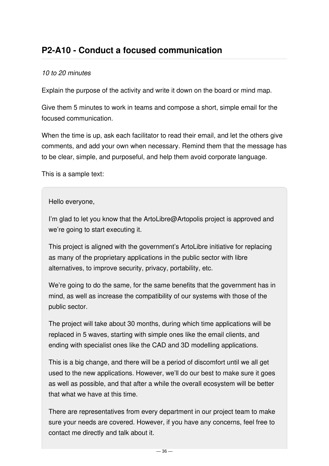# <span id="page-35-0"></span>**P2-A10 - Conduct a focused communication**

#### *10 to 20 minutes*

Explain the purpose of the activity and write it down on the board or mind map.

Give them 5 minutes to work in teams and compose a short, simple email for the focused communication.

When the time is up, ask each facilitator to read their email, and let the others give comments, and add your own when necessary. Remind them that the message has to be clear, simple, and purposeful, and help them avoid corporate language.

This is a sample text:

Hello everyone,

I'm glad to let you know that the ArtoLibre@Artopolis project is approved and we're going to start executing it.

This project is aligned with the government's ArtoLibre initiative for replacing as many of the proprietary applications in the public sector with libre alternatives, to improve security, privacy, portability, etc.

We're going to do the same, for the same benefits that the government has in mind, as well as increase the compatibility of our systems with those of the public sector.

The project will take about 30 months, during which time applications will be replaced in 5 waves, starting with simple ones like the email clients, and ending with specialist ones like the CAD and 3D modelling applications.

This is a big change, and there will be a period of discomfort until we all get used to the new applications. However, we'll do our best to make sure it goes as well as possible, and that after a while the overall ecosystem will be better that what we have at this time.

There are representatives from every department in our project team to make sure your needs are covered. However, if you have any concerns, feel free to contact me directly and talk about it.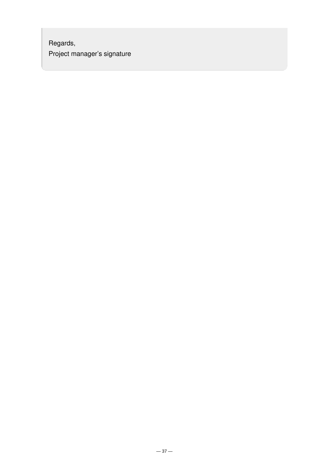Regards, Project manager's signature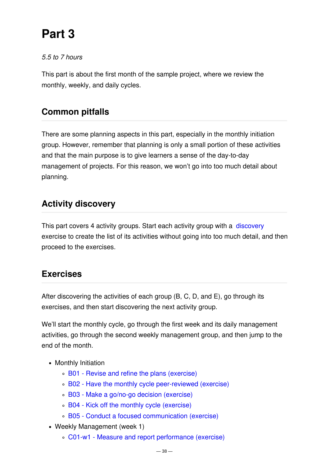# **Part 3**

#### *5.5 to 7 hours*

This part is about the first month of the sample project, where we review the monthly, weekly, and daily cycles.

# **Common pitfalls**

There are some planning aspects in this part, especially in the monthly initiation group. However, remember that planning is only a small portion of these activities and that the main purpose is to give learners a sense of the day-to-day management of projects. For this reason, we won't go into too much detail about planning.

# **Activity discovery**

This part covers 4 activity groups. Start each activity group with a [discovery](file:///mnt/int2/websites/p3.express/hugo.p3.express/public/training/instructor-led-workshops/discovery/) exercise to create the list of its activities without going into too much detail, and then proceed to the exercises.

# **Exercises**

After discovering the activities of each group (B, C, D, and E), go through its exercises, and then start discovering the next activity group.

We'll start the monthly cycle, go through the first week and its daily management activities, go through the second weekly management group, and then jump to the end of the month.

- Monthly Initiation
	- B01 Revise and refine the plans [\(exercise\)](#page-38-0)
	- B02 Have the monthly cycle [peer-reviewed](#page-43-0) (exercise)
	- B03 Make a go/no-go decision [\(exercise\)](#page-44-0)
	- B04 Kick off the monthly cycle [\(exercise\)](#page-44-1)
	- B05 Conduct a focused [communication](#page-44-2) (exercise)
- Weekly Management (week 1)
	- C01-w1 Measure and report [performance](#page-45-0) (exercise)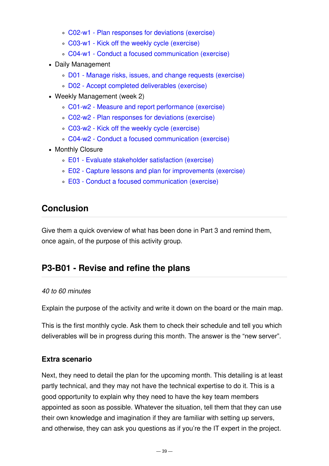- C02-w1 Plan [responses](#page-45-1) for deviations (exercise)
- C03-w1 Kick off the weekly cycle [\(exercise\)](#page-45-2)
- C04-w1 Conduct a focused [communication](#page-46-0) (exercise)
- Daily Management
	- D01 Manage risks, issues, and change requests [\(exercise\)](#page-46-1)
	- D02 Accept completed [deliverables](#page-49-0) (exercise)
- Weekly Management (week 2)
	- C01-w2 Measure and report [performance](#page-49-1) (exercise)
	- C02-w2 Plan [responses](#page-51-0) for deviations (exercise)
	- C03-w2 Kick off the weekly cycle [\(exercise\)](#page-52-0)
	- C04-w2 Conduct a focused [communication](#page-53-0) (exercise)
- Monthly Closure
	- E01 Evaluate [stakeholder](#page-53-1) satisfaction (exercise)
	- E02 Capture lessons and plan for [improvements](#page-54-0) (exercise)
	- E03 Conduct a focused [communication](#page-56-0) (exercise)

### **Conclusion**

Give them a quick overview of what has been done in Part 3 and remind them, once again, of the purpose of this activity group.

# <span id="page-38-0"></span>**P3-B01 - Revise and refine the plans**

#### *40 to 60 minutes*

Explain the purpose of the activity and write it down on the board or the main map.

This is the first monthly cycle. Ask them to check their schedule and tell you which deliverables will be in progress during this month. The answer is the "new server".

#### **Extra scenario**

Next, they need to detail the plan for the upcoming month. This detailing is at least partly technical, and they may not have the technical expertise to do it. This is a good opportunity to explain why they need to have the key team members appointed as soon as possible. Whatever the situation, tell them that they can use their own knowledge and imagination if they are familiar with setting up servers, and otherwise, they can ask you questions as if you're the IT expert in the project.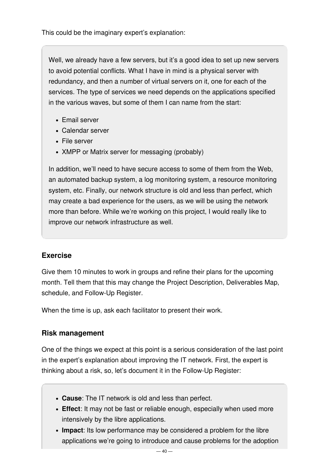This could be the imaginary expert's explanation:

Well, we already have a few servers, but it's a good idea to set up new servers to avoid potential conflicts. What I have in mind is a physical server with redundancy, and then a number of virtual servers on it, one for each of the services. The type of services we need depends on the applications specified in the various waves, but some of them I can name from the start:

- Email server
- Calendar server
- File server
- XMPP or Matrix server for messaging (probably)

In addition, we'll need to have secure access to some of them from the Web, an automated backup system, a log monitoring system, a resource monitoring system, etc. Finally, our network structure is old and less than perfect, which may create a bad experience for the users, as we will be using the network more than before. While we're working on this project, I would really like to improve our network infrastructure as well.

#### **Exercise**

Give them 10 minutes to work in groups and refine their plans for the upcoming month. Tell them that this may change the Project Description, Deliverables Map, schedule, and Follow-Up Register.

When the time is up, ask each facilitator to present their work.

#### **Risk management**

One of the things we expect at this point is a serious consideration of the last point in the expert's explanation about improving the IT network. First, the expert is thinking about a risk, so, let's document it in the Follow-Up Register:

- **Cause**: The IT network is old and less than perfect.
- **Effect**: It may not be fast or reliable enough, especially when used more intensively by the libre applications.
- **Impact**: Its low performance may be considered a problem for the libre applications we're going to introduce and cause problems for the adoption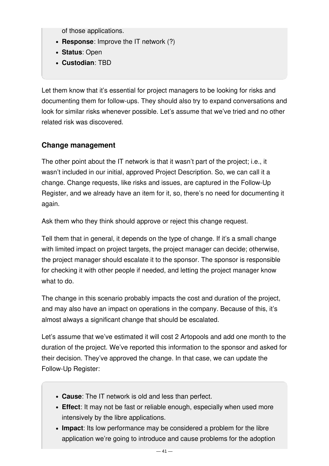of those applications.

- **Response**: Improve the IT network (?)
- **Status**: Open
- **Custodian**: TBD

Let them know that it's essential for project managers to be looking for risks and documenting them for follow-ups. They should also try to expand conversations and look for similar risks whenever possible. Let's assume that we've tried and no other related risk was discovered.

#### **Change management**

The other point about the IT network is that it wasn't part of the project; i.e., it wasn't included in our initial, approved Project Description. So, we can call it a change. Change requests, like risks and issues, are captured in the Follow-Up Register, and we already have an item for it, so, there's no need for documenting it again.

Ask them who they think should approve or reject this change request.

Tell them that in general, it depends on the type of change. If it's a small change with limited impact on project targets, the project manager can decide; otherwise, the project manager should escalate it to the sponsor. The sponsor is responsible for checking it with other people if needed, and letting the project manager know what to do.

The change in this scenario probably impacts the cost and duration of the project, and may also have an impact on operations in the company. Because of this, it's almost always a significant change that should be escalated.

Let's assume that we've estimated it will cost 2 Artopools and add one month to the duration of the project. We've reported this information to the sponsor and asked for their decision. They've approved the change. In that case, we can update the Follow-Up Register:

- **Cause**: The IT network is old and less than perfect.
- **Effect**: It may not be fast or reliable enough, especially when used more intensively by the libre applications.
- **Impact**: Its low performance may be considered a problem for the libre application we're going to introduce and cause problems for the adoption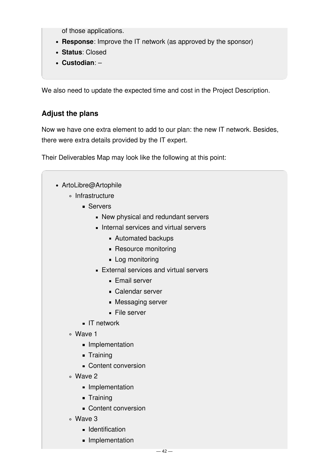of those applications.

- **Response**: Improve the IT network (as approved by the sponsor)
- **Status**: Closed
- **Custodian**: –

We also need to update the expected time and cost in the Project Description.

#### **Adjust the plans**

Now we have one extra element to add to our plan: the new IT network. Besides, there were extra details provided by the IT expert.

Their Deliverables Map may look like the following at this point:

- ArtoLibre@Artophile
	- o Infrastructure
		- **Servers** 
			- New physical and redundant servers
			- Internal services and virtual servers
				- Automated backups
				- Resource monitoring
				- Log monitoring
			- **External services and virtual servers** 
				- **Email server**
				- Calendar server
				- **Messaging server**
				- File server
		- **IT** network
	- Wave 1
		- **Implementation**
		- Training
		- Content conversion
	- Wave 2
		- **Implementation**
		- **-** Training
		- Content conversion
	- Wave 3
		- **I**dentification
		- **Implementation**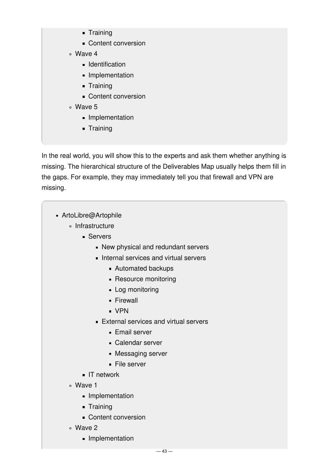- **-** Training
- **Content conversion**
- Wave 4
	- **Identification**
	- **Implementation**
	- **Training**
	- Content conversion
- Wave 5
	- **Implementation**
	- **Training**

In the real world, you will show this to the experts and ask them whether anything is missing. The hierarchical structure of the Deliverables Map usually helps them fill in the gaps. For example, they may immediately tell you that firewall and VPN are missing.

- ArtoLibre@Artophile
	- ∘ Infrastructure
		- Servers
			- New physical and redundant servers
			- Internal services and virtual servers
				- Automated backups
				- **Resource monitoring**
				- **Log monitoring**
				- **Firewall**
				- VPN
			- **External services and virtual servers** 
				- **Email server**
				- Calendar server
				- **Messaging server**
				- **File server**
		- **IT** network
	- Wave 1
		- **Implementation**
		- **Training**
		- Content conversion
	- Wave 2
		- **Implementation**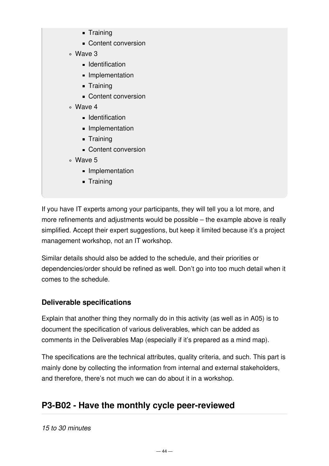- **Training**
- Content conversion
- Wave 3
	- **Identification**
	- **Implementation**
	- **Training**
	- Content conversion
- Wave 4
	- **Identification**
	- Implementation
	- **Training**
	- Content conversion
- Wave 5
	- **Implementation**
	- **Training**

If you have IT experts among your participants, they will tell you a lot more, and more refinements and adjustments would be possible – the example above is really simplified. Accept their expert suggestions, but keep it limited because it's a project management workshop, not an IT workshop.

Similar details should also be added to the schedule, and their priorities or dependencies/order should be refined as well. Don't go into too much detail when it comes to the schedule.

### **Deliverable specifications**

Explain that another thing they normally do in this activity (as well as in A05) is to document the specification of various deliverables, which can be added as comments in the Deliverables Map (especially if it's prepared as a mind map).

The specifications are the technical attributes, quality criteria, and such. This part is mainly done by collecting the information from internal and external stakeholders, and therefore, there's not much we can do about it in a workshop.

# <span id="page-43-0"></span>**P3-B02 - Have the monthly cycle peer-reviewed**

*15 to 30 minutes*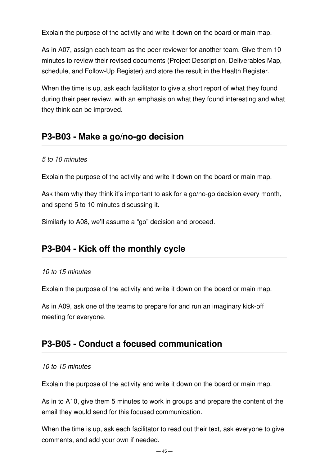Explain the purpose of the activity and write it down on the board or main map.

As in A07, assign each team as the peer reviewer for another team. Give them 10 minutes to review their revised documents (Project Description, Deliverables Map, schedule, and Follow-Up Register) and store the result in the Health Register.

When the time is up, ask each facilitator to give a short report of what they found during their peer review, with an emphasis on what they found interesting and what they think can be improved.

### <span id="page-44-0"></span>**P3-B03 - Make a go/no-go decision**

#### *5 to 10 minutes*

Explain the purpose of the activity and write it down on the board or main map.

Ask them why they think it's important to ask for a go/no-go decision every month, and spend 5 to 10 minutes discussing it.

Similarly to A08, we'll assume a "go" decision and proceed.

### <span id="page-44-1"></span>**P3-B04 - Kick off the monthly cycle**

#### *10 to 15 minutes*

Explain the purpose of the activity and write it down on the board or main map.

As in A09, ask one of the teams to prepare for and run an imaginary kick-off meeting for everyone.

### <span id="page-44-2"></span>**P3-B05 - Conduct a focused communication**

#### *10 to 15 minutes*

Explain the purpose of the activity and write it down on the board or main map.

As in to A10, give them 5 minutes to work in groups and prepare the content of the email they would send for this focused communication.

When the time is up, ask each facilitator to read out their text, ask everyone to give comments, and add your own if needed.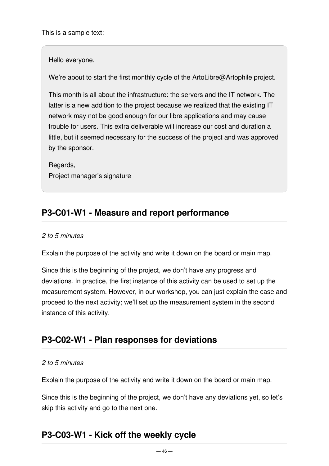Hello everyone,

We're about to start the first monthly cycle of the ArtoLibre@Artophile project.

This month is all about the infrastructure: the servers and the IT network. The latter is a new addition to the project because we realized that the existing IT network may not be good enough for our libre applications and may cause trouble for users. This extra deliverable will increase our cost and duration a little, but it seemed necessary for the success of the project and was approved by the sponsor.

Regards, Project manager's signature

# <span id="page-45-0"></span>**P3-C01-W1 - Measure and report performance**

#### *2 to 5 minutes*

Explain the purpose of the activity and write it down on the board or main map.

Since this is the beginning of the project, we don't have any progress and deviations. In practice, the first instance of this activity can be used to set up the measurement system. However, in our workshop, you can just explain the case and proceed to the next activity; we'll set up the measurement system in the second instance of this activity.

# <span id="page-45-1"></span>**P3-C02-W1 - Plan responses for deviations**

#### *2 to 5 minutes*

Explain the purpose of the activity and write it down on the board or main map.

Since this is the beginning of the project, we don't have any deviations yet, so let's skip this activity and go to the next one.

# <span id="page-45-2"></span>**P3-C03-W1 - Kick off the weekly cycle**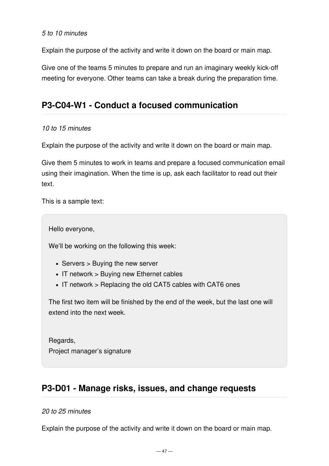#### *5 to 10 minutes*

Explain the purpose of the activity and write it down on the board or main map.

Give one of the teams 5 minutes to prepare and run an imaginary weekly kick-off meeting for everyone. Other teams can take a break during the preparation time.

### <span id="page-46-0"></span>**P3-C04-W1 - Conduct a focused communication**

#### *10 to 15 minutes*

Explain the purpose of the activity and write it down on the board or main map.

Give them 5 minutes to work in teams and prepare a focused communication email using their imagination. When the time is up, ask each facilitator to read out their text.

This is a sample text:

Hello everyone,

We'll be working on the following this week:

- Servers > Buying the new server
- IT network > Buying new Ethernet cables
- IT network > Replacing the old CAT5 cables with CAT6 ones

The first two item will be finished by the end of the week, but the last one will extend into the next week.

Regards, Project manager's signature

# <span id="page-46-1"></span>**P3-D01 - Manage risks, issues, and change requests**

#### *20 to 25 minutes*

Explain the purpose of the activity and write it down on the board or main map.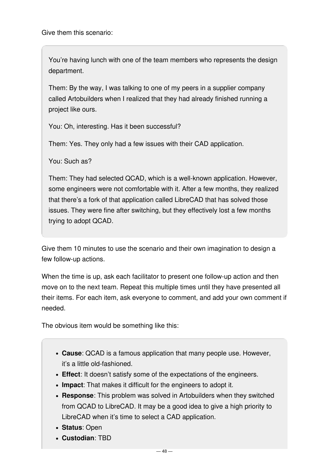Give them this scenario:

You're having lunch with one of the team members who represents the design department.

Them: By the way, I was talking to one of my peers in a supplier company called Artobuilders when I realized that they had already finished running a project like ours.

You: Oh, interesting. Has it been successful?

Them: Yes. They only had a few issues with their CAD application.

You: Such as?

Them: They had selected QCAD, which is a well-known application. However, some engineers were not comfortable with it. After a few months, they realized that there's a fork of that application called LibreCAD that has solved those issues. They were fine after switching, but they effectively lost a few months trying to adopt QCAD.

Give them 10 minutes to use the scenario and their own imagination to design a few follow-up actions.

When the time is up, ask each facilitator to present one follow-up action and then move on to the next team. Repeat this multiple times until they have presented all their items. For each item, ask everyone to comment, and add your own comment if needed.

The obvious item would be something like this:

- **Cause**: QCAD is a famous application that many people use. However, it's a little old-fashioned.
- **Effect**: It doesn't satisfy some of the expectations of the engineers.
- **Impact**: That makes it difficult for the engineers to adopt it.
- **Response**: This problem was solved in Artobuilders when they switched from QCAD to LibreCAD. It may be a good idea to give a high priority to LibreCAD when it's time to select a CAD application.
- **Status**: Open
- **Custodian**: TBD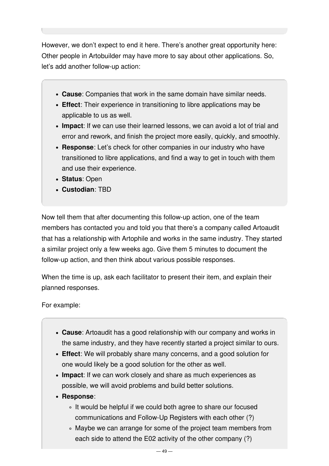However, we don't expect to end it here. There's another great opportunity here: Other people in Artobuilder may have more to say about other applications. So, let's add another follow-up action:

- **Cause**: Companies that work in the same domain have similar needs.
- **Effect**: Their experience in transitioning to libre applications may be applicable to us as well.
- **Impact**: If we can use their learned lessons, we can avoid a lot of trial and error and rework, and finish the project more easily, quickly, and smoothly.
- **Response**: Let's check for other companies in our industry who have transitioned to libre applications, and find a way to get in touch with them and use their experience.
- **Status**: Open
- **Custodian**: TBD

Now tell them that after documenting this follow-up action, one of the team members has contacted you and told you that there's a company called Artoaudit that has a relationship with Artophile and works in the same industry. They started a similar project only a few weeks ago. Give them 5 minutes to document the follow-up action, and then think about various possible responses.

When the time is up, ask each facilitator to present their item, and explain their planned responses.

For example:

- **Cause**: Artoaudit has a good relationship with our company and works in the same industry, and they have recently started a project similar to ours.
- **Effect**: We will probably share many concerns, and a good solution for one would likely be a good solution for the other as well.
- **Impact**: If we can work closely and share as much experiences as possible, we will avoid problems and build better solutions.
- **Response**:
	- It would be helpful if we could both agree to share our focused communications and Follow-Up Registers with each other (?)
	- Maybe we can arrange for some of the project team members from each side to attend the E02 activity of the other company (?)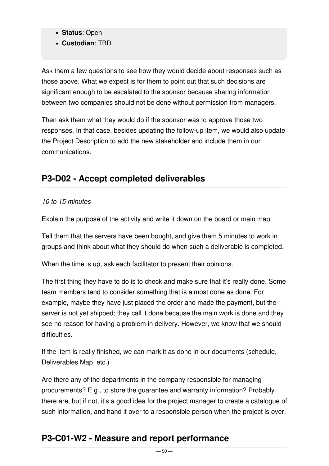- **Status**: Open
- **Custodian**: TBD

Ask them a few questions to see how they would decide about responses such as those above. What we expect is for them to point out that such decisions are significant enough to be escalated to the sponsor because sharing information between two companies should not be done without permission from managers.

Then ask them what they would do if the sponsor was to approve those two responses. In that case, besides updating the follow-up item, we would also update the Project Description to add the new stakeholder and include them in our communications.

# <span id="page-49-0"></span>**P3-D02 - Accept completed deliverables**

#### *10 to 15 minutes*

Explain the purpose of the activity and write it down on the board or main map.

Tell them that the servers have been bought, and give them 5 minutes to work in groups and think about what they should do when such a deliverable is completed.

When the time is up, ask each facilitator to present their opinions.

The first thing they have to do is to check and make sure that it's really done. Some team members tend to consider something that is almost done as done. For example, maybe they have just placed the order and made the payment, but the server is not yet shipped; they call it done because the main work is done and they see no reason for having a problem in delivery. However, we know that we should difficulties.

If the item is really finished, we can mark it as done in our documents (schedule, Deliverables Map, etc.)

Are there any of the departments in the company responsible for managing procurements? E.g., to store the guarantee and warranty information? Probably there are, but if not, it's a good idea for the project manager to create a catalogue of such information, and hand it over to a responsible person when the project is over.

# <span id="page-49-1"></span>**P3-C01-W2 - Measure and report performance**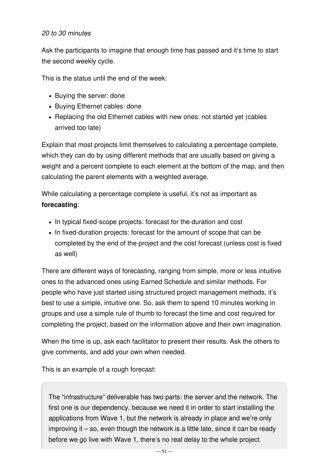#### *20 to 30 minutes*

Ask the participants to imagine that enough time has passed and it's time to start the second weekly cycle.

This is the status until the end of the week:

- Buying the server: done
- Buying Ethernet cables: done
- Replacing the old Ethernet cables with new ones: not started yet (cables arrived too late)

Explain that most projects limit themselves to calculating a percentage complete, which they can do by using different methods that are usually based on giving a weight and a percent complete to each element at the bottom of the map, and then calculating the parent elements with a weighted average.

While calculating a percentage complete is useful, it's not as important as **forecasting**:

- In typical fixed-scope projects: forecast for the duration and cost
- In fixed-duration projects: forecast for the amount of scope that can be completed by the end of the project and the cost forecast (unless cost is fixed as well)

There are different ways of forecasting, ranging from simple, more or less intuitive ones to the advanced ones using Earned Schedule and similar methods. For people who have just started using structured project management methods, it's best to use a simple, intuitive one. So, ask them to spend 10 minutes working in groups and use a simple rule of thumb to forecast the time and cost required for completing the project, based on the information above and their own imagination.

When the time is up, ask each facilitator to present their results. Ask the others to give comments, and add your own when needed.

This is an example of a rough forecast:

The "infrastructure" deliverable has two parts: the server and the network. The first one is our dependency, because we need it in order to start installing the applications from Wave 1, but the network is already in place and we're only improving it – so, even though the network is a little late, since it can be ready before we go live with Wave 1, there's no real delay to the whole project.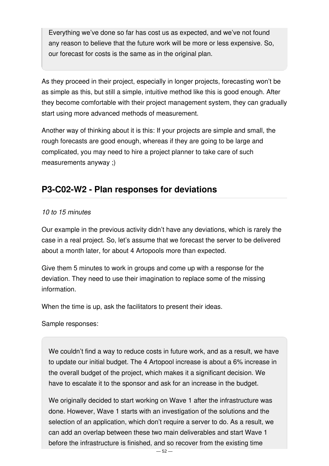Everything we've done so far has cost us as expected, and we've not found any reason to believe that the future work will be more or less expensive. So, our forecast for costs is the same as in the original plan.

As they proceed in their project, especially in longer projects, forecasting won't be as simple as this, but still a simple, intuitive method like this is good enough. After they become comfortable with their project management system, they can gradually start using more advanced methods of measurement.

Another way of thinking about it is this: If your projects are simple and small, the rough forecasts are good enough, whereas if they are going to be large and complicated, you may need to hire a project planner to take care of such measurements anyway ;)

### <span id="page-51-0"></span>**P3-C02-W2 - Plan responses for deviations**

#### *10 to 15 minutes*

Our example in the previous activity didn't have any deviations, which is rarely the case in a real project. So, let's assume that we forecast the server to be delivered about a month later, for about 4 Artopools more than expected.

Give them 5 minutes to work in groups and come up with a response for the deviation. They need to use their imagination to replace some of the missing information.

When the time is up, ask the facilitators to present their ideas.

Sample responses:

We couldn't find a way to reduce costs in future work, and as a result, we have to update our initial budget. The 4 Artopool increase is about a 6% increase in the overall budget of the project, which makes it a significant decision. We have to escalate it to the sponsor and ask for an increase in the budget.

We originally decided to start working on Wave 1 after the infrastructure was done. However, Wave 1 starts with an investigation of the solutions and the selection of an application, which don't require a server to do. As a result, we can add an overlap between these two main deliverables and start Wave 1 before the infrastructure is finished, and so recover from the existing time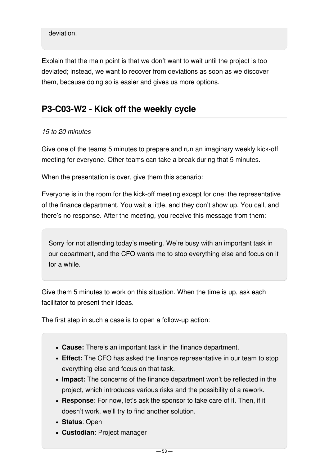#### deviation.

Explain that the main point is that we don't want to wait until the project is too deviated; instead, we want to recover from deviations as soon as we discover them, because doing so is easier and gives us more options.

### <span id="page-52-0"></span>**P3-C03-W2 - Kick off the weekly cycle**

#### *15 to 20 minutes*

Give one of the teams 5 minutes to prepare and run an imaginary weekly kick-off meeting for everyone. Other teams can take a break during that 5 minutes.

When the presentation is over, give them this scenario:

Everyone is in the room for the kick-off meeting except for one: the representative of the finance department. You wait a little, and they don't show up. You call, and there's no response. After the meeting, you receive this message from them:

Sorry for not attending today's meeting. We're busy with an important task in our department, and the CFO wants me to stop everything else and focus on it for a while.

Give them 5 minutes to work on this situation. When the time is up, ask each facilitator to present their ideas.

The first step in such a case is to open a follow-up action:

- **Cause:** There's an important task in the finance department.
- **Effect:** The CFO has asked the finance representative in our team to stop everything else and focus on that task.
- **Impact:** The concerns of the finance department won't be reflected in the project, which introduces various risks and the possibility of a rework.
- **Response**: For now, let's ask the sponsor to take care of it. Then, if it doesn't work, we'll try to find another solution.
- **Status**: Open
- **Custodian**: Project manager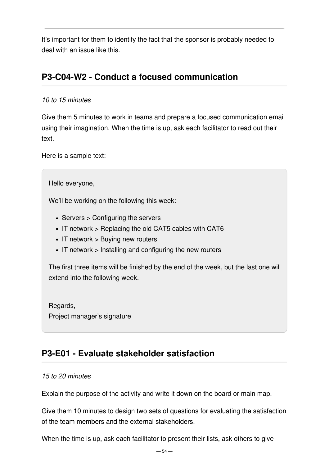It's important for them to identify the fact that the sponsor is probably needed to deal with an issue like this.

## <span id="page-53-0"></span>**P3-C04-W2 - Conduct a focused communication**

#### *10 to 15 minutes*

Give them 5 minutes to work in teams and prepare a focused communication email using their imagination. When the time is up, ask each facilitator to read out their text

Here is a sample text:

Hello everyone,

We'll be working on the following this week:

- Servers > Configuring the servers
- IT network > Replacing the old CAT5 cables with CAT6
- IT network > Buying new routers
- $\bullet$  IT network  $>$  Installing and configuring the new routers

The first three items will be finished by the end of the week, but the last one will extend into the following week.

Regards, Project manager's signature

# <span id="page-53-1"></span>**P3-E01 - Evaluate stakeholder satisfaction**

#### *15 to 20 minutes*

Explain the purpose of the activity and write it down on the board or main map.

Give them 10 minutes to design two sets of questions for evaluating the satisfaction of the team members and the external stakeholders.

When the time is up, ask each facilitator to present their lists, ask others to give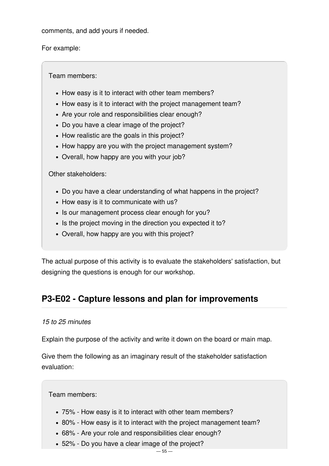comments, and add yours if needed.

For example:

Team members:

- How easy is it to interact with other team members?
- How easy is it to interact with the project management team?
- Are your role and responsibilities clear enough?
- Do you have a clear image of the project?
- How realistic are the goals in this project?
- How happy are you with the project management system?
- Overall, how happy are you with your job?

Other stakeholders:

- Do you have a clear understanding of what happens in the project?
- How easy is it to communicate with us?
- Is our management process clear enough for you?
- Is the project moving in the direction you expected it to?
- Overall, how happy are you with this project?

The actual purpose of this activity is to evaluate the stakeholders' satisfaction, but designing the questions is enough for our workshop.

# <span id="page-54-0"></span>**P3-E02 - Capture lessons and plan for improvements**

#### *15 to 25 minutes*

Explain the purpose of the activity and write it down on the board or main map.

Give them the following as an imaginary result of the stakeholder satisfaction evaluation:

Team members:

- 75% How easy is it to interact with other team members?
- 80% How easy is it to interact with the project management team?
- 68% Are your role and responsibilities clear enough?
- 52% Do you have a clear image of the project?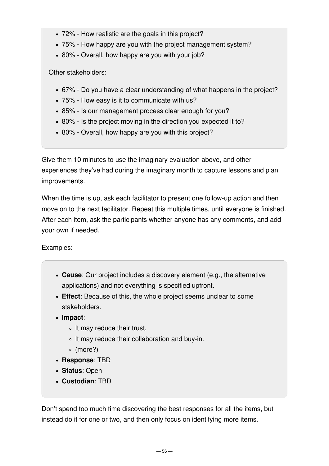- 72% How realistic are the goals in this project?
- 75% How happy are you with the project management system?
- 80% Overall, how happy are you with your job?

Other stakeholders:

- 67% Do you have a clear understanding of what happens in the project?
- 75% How easy is it to communicate with us?
- 85% Is our management process clear enough for you?
- 80% Is the project moving in the direction you expected it to?
- 80% Overall, how happy are you with this project?

Give them 10 minutes to use the imaginary evaluation above, and other experiences they've had during the imaginary month to capture lessons and plan improvements.

When the time is up, ask each facilitator to present one follow-up action and then move on to the next facilitator. Repeat this multiple times, until everyone is finished. After each item, ask the participants whether anyone has any comments, and add your own if needed.

Examples:

- **Cause**: Our project includes a discovery element (e.g., the alternative applications) and not everything is specified upfront.
- **Effect**: Because of this, the whole project seems unclear to some stakeholders.
- **Impact**:
	- It may reduce their trust.
	- It may reduce their collaboration and buy-in.
	- (more?)
- **Response**: TBD
- **Status**: Open
- **Custodian**: TBD

Don't spend too much time discovering the best responses for all the items, but instead do it for one or two, and then only focus on identifying more items.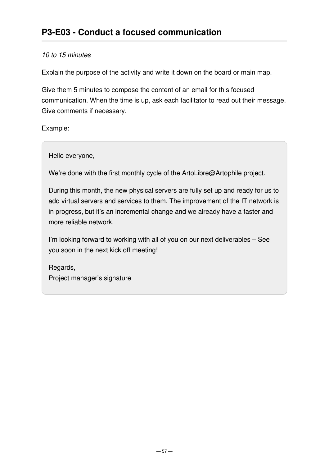#### <span id="page-56-0"></span>*10 to 15 minutes*

Explain the purpose of the activity and write it down on the board or main map.

Give them 5 minutes to compose the content of an email for this focused communication. When the time is up, ask each facilitator to read out their message. Give comments if necessary.

Example:

Hello everyone,

We're done with the first monthly cycle of the ArtoLibre@Artophile project.

During this month, the new physical servers are fully set up and ready for us to add virtual servers and services to them. The improvement of the IT network is in progress, but it's an incremental change and we already have a faster and more reliable network.

I'm looking forward to working with all of you on our next deliverables – See you soon in the next kick off meeting!

Regards, Project manager's signature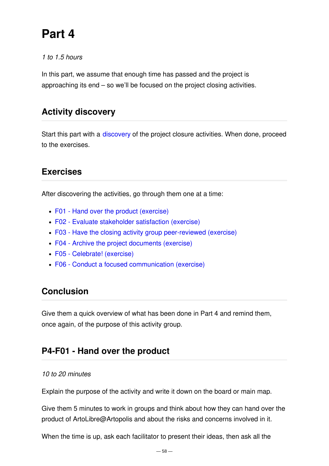# **Part 4**

#### *1 to 1.5 hours*

In this part, we assume that enough time has passed and the project is approaching its end – so we'll be focused on the project closing activities.

## **Activity discovery**

Start this part with a [discovery](file:///mnt/int2/websites/p3.express/hugo.p3.express/public/training/instructor-led-workshops/discover/) of the project closure activities. When done, proceed to the exercises.

# **Exercises**

After discovering the activities, go through them one at a time:

- F01 Hand over the product [\(exercise\)](#page-57-0)
- F02 Evaluate [stakeholder](#page-58-0) satisfaction (exercise)
- F03 Have the closing activity group [peer-reviewed](#page-59-0) (exercise)
- F04 Archive the project [documents](#page-59-1) (exercise)
- F05 [Celebrate!](#page-59-2) (exercise)
- F06 Conduct a focused [communication](#page-60-0) (exercise)

# **Conclusion**

Give them a quick overview of what has been done in Part 4 and remind them, once again, of the purpose of this activity group.

### <span id="page-57-0"></span>**P4-F01 - Hand over the product**

#### *10 to 20 minutes*

Explain the purpose of the activity and write it down on the board or main map.

Give them 5 minutes to work in groups and think about how they can hand over the product of ArtoLibre@Artopolis and about the risks and concerns involved in it.

When the time is up, ask each facilitator to present their ideas, then ask all the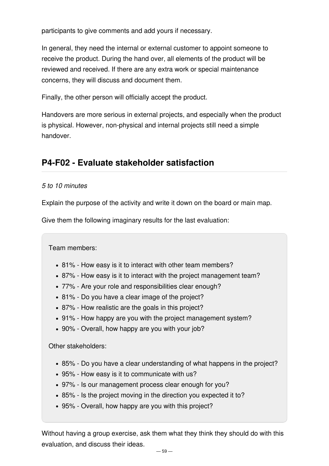participants to give comments and add yours if necessary.

In general, they need the internal or external customer to appoint someone to receive the product. During the hand over, all elements of the product will be reviewed and received. If there are any extra work or special maintenance concerns, they will discuss and document them.

Finally, the other person will officially accept the product.

Handovers are more serious in external projects, and especially when the product is physical. However, non-physical and internal projects still need a simple handover.

# <span id="page-58-0"></span>**P4-F02 - Evaluate stakeholder satisfaction**

#### *5 to 10 minutes*

Explain the purpose of the activity and write it down on the board or main map.

Give them the following imaginary results for the last evaluation:

Team members:

- 81% How easy is it to interact with other team members?
- 87% How easy is it to interact with the project management team?
- 77% Are your role and responsibilities clear enough?
- 81% Do you have a clear image of the project?
- 87% How realistic are the goals in this project?
- 91% How happy are you with the project management system?
- 90% Overall, how happy are you with your job?

Other stakeholders:

- 85% Do you have a clear understanding of what happens in the project?
- 95% How easy is it to communicate with us?
- 97% Is our management process clear enough for you?
- 85% Is the project moving in the direction you expected it to?
- 95% Overall, how happy are you with this project?

Without having a group exercise, ask them what they think they should do with this evaluation, and discuss their ideas.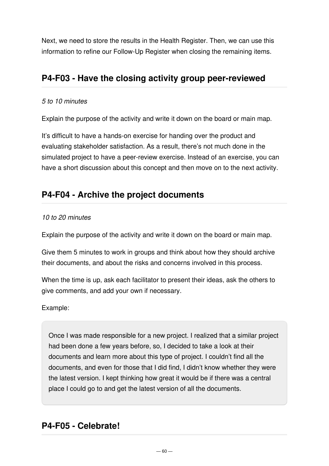Next, we need to store the results in the Health Register. Then, we can use this information to refine our Follow-Up Register when closing the remaining items.

### <span id="page-59-0"></span>**P4-F03 - Have the closing activity group peer-reviewed**

#### *5 to 10 minutes*

Explain the purpose of the activity and write it down on the board or main map.

It's difficult to have a hands-on exercise for handing over the product and evaluating stakeholder satisfaction. As a result, there's not much done in the simulated project to have a peer-review exercise. Instead of an exercise, you can have a short discussion about this concept and then move on to the next activity.

# <span id="page-59-1"></span>**P4-F04 - Archive the project documents**

#### *10 to 20 minutes*

Explain the purpose of the activity and write it down on the board or main map.

Give them 5 minutes to work in groups and think about how they should archive their documents, and about the risks and concerns involved in this process.

When the time is up, ask each facilitator to present their ideas, ask the others to give comments, and add your own if necessary.

Example:

Once I was made responsible for a new project. I realized that a similar project had been done a few years before, so, I decided to take a look at their documents and learn more about this type of project. I couldn't find all the documents, and even for those that I did find, I didn't know whether they were the latest version. I kept thinking how great it would be if there was a central place I could go to and get the latest version of all the documents.

# <span id="page-59-2"></span>**P4-F05 - Celebrate!**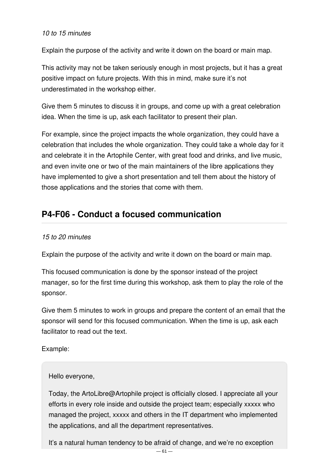#### *10 to 15 minutes*

Explain the purpose of the activity and write it down on the board or main map.

This activity may not be taken seriously enough in most projects, but it has a great positive impact on future projects. With this in mind, make sure it's not underestimated in the workshop either.

Give them 5 minutes to discuss it in groups, and come up with a great celebration idea. When the time is up, ask each facilitator to present their plan.

For example, since the project impacts the whole organization, they could have a celebration that includes the whole organization. They could take a whole day for it and celebrate it in the Artophile Center, with great food and drinks, and live music, and even invite one or two of the main maintainers of the libre applications they have implemented to give a short presentation and tell them about the history of those applications and the stories that come with them.

# <span id="page-60-0"></span>**P4-F06 - Conduct a focused communication**

#### *15 to 20 minutes*

Explain the purpose of the activity and write it down on the board or main map.

This focused communication is done by the sponsor instead of the project manager, so for the first time during this workshop, ask them to play the role of the sponsor.

Give them 5 minutes to work in groups and prepare the content of an email that the sponsor will send for this focused communication. When the time is up, ask each facilitator to read out the text.

Example:

#### Hello everyone,

Today, the ArtoLibre@Artophile project is officially closed. I appreciate all your efforts in every role inside and outside the project team; especially xxxxx who managed the project, xxxxx and others in the IT department who implemented the applications, and all the department representatives.

It's a natural human tendency to be afraid of change, and we're no exception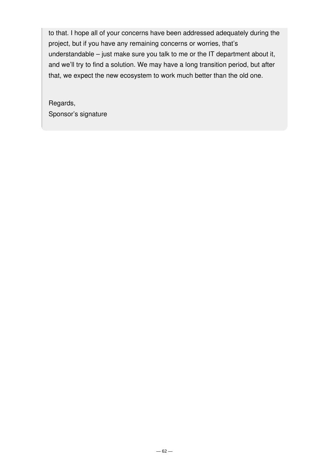to that. I hope all of your concerns have been addressed adequately during the project, but if you have any remaining concerns or worries, that's understandable – just make sure you talk to me or the IT department about it, and we'll try to find a solution. We may have a long transition period, but after that, we expect the new ecosystem to work much better than the old one.

Regards, Sponsor's signature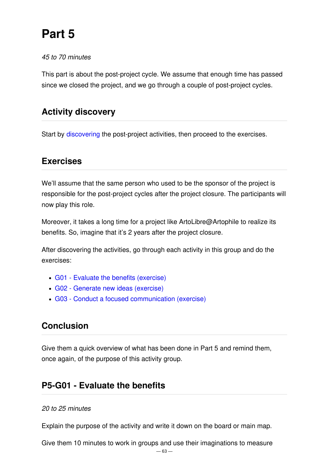# **Part 5**

#### *45 to 70 minutes*

This part is about the post-project cycle. We assume that enough time has passed since we closed the project, and we go through a couple of post-project cycles.

### **Activity discovery**

Start by [discovering](file:///mnt/int2/websites/p3.express/hugo.p3.express/public/training/instructor-led-workshops/discovery/) the post-project activities, then proceed to the exercises.

### **Exercises**

We'll assume that the same person who used to be the sponsor of the project is responsible for the post-project cycles after the project closure. The participants will now play this role.

Moreover, it takes a long time for a project like ArtoLibre@Artophile to realize its benefits. So, imagine that it's 2 years after the project closure.

After discovering the activities, go through each activity in this group and do the exercises:

- G01 Evaluate the benefits [\(exercise\)](#page-62-0)
- G02 Generate new ideas [\(exercise\)](#page-63-0)
- G03 Conduct a focused [communication](#page-64-0) (exercise)

# **Conclusion**

Give them a quick overview of what has been done in Part 5 and remind them, once again, of the purpose of this activity group.

### <span id="page-62-0"></span>**P5-G01 - Evaluate the benefits**

#### *20 to 25 minutes*

Explain the purpose of the activity and write it down on the board or main map.

Give them 10 minutes to work in groups and use their imaginations to measure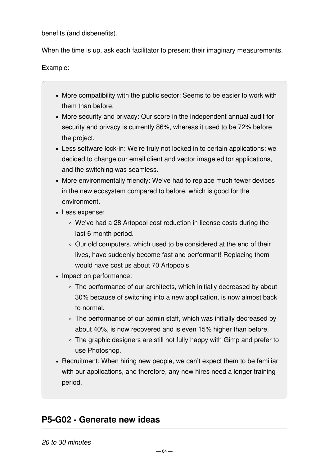benefits (and disbenefits).

When the time is up, ask each facilitator to present their imaginary measurements.

Example:

- More compatibility with the public sector: Seems to be easier to work with them than before.
- More security and privacy: Our score in the independent annual audit for security and privacy is currently 86%, whereas it used to be 72% before the project.
- Less software lock-in: We're truly not locked in to certain applications; we decided to change our email client and vector image editor applications, and the switching was seamless.
- More environmentally friendly: We've had to replace much fewer devices in the new ecosystem compared to before, which is good for the environment.
- Less expense:
	- We've had a 28 Artopool cost reduction in license costs during the last 6-month period.
	- Our old computers, which used to be considered at the end of their lives, have suddenly become fast and performant! Replacing them would have cost us about 70 Artopools.
- Impact on performance:
	- The performance of our architects, which initially decreased by about 30% because of switching into a new application, is now almost back to normal.
	- The performance of our admin staff, which was initially decreased by about 40%, is now recovered and is even 15% higher than before.
	- The graphic designers are still not fully happy with Gimp and prefer to use Photoshop.
- Recruitment: When hiring new people, we can't expect them to be familiar with our applications, and therefore, any new hires need a longer training period.

# <span id="page-63-0"></span>**P5-G02 - Generate new ideas**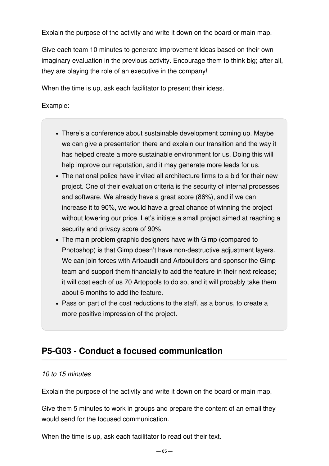Explain the purpose of the activity and write it down on the board or main map.

Give each team 10 minutes to generate improvement ideas based on their own imaginary evaluation in the previous activity. Encourage them to think big; after all, they are playing the role of an executive in the company!

When the time is up, ask each facilitator to present their ideas.

Example:

- There's a conference about sustainable development coming up. Maybe we can give a presentation there and explain our transition and the way it has helped create a more sustainable environment for us. Doing this will help improve our reputation, and it may generate more leads for us.
- The national police have invited all architecture firms to a bid for their new project. One of their evaluation criteria is the security of internal processes and software. We already have a great score (86%), and if we can increase it to 90%, we would have a great chance of winning the project without lowering our price. Let's initiate a small project aimed at reaching a security and privacy score of 90%!
- The main problem graphic designers have with Gimp (compared to Photoshop) is that Gimp doesn't have non-destructive adjustment layers. We can join forces with Artoaudit and Artobuilders and sponsor the Gimp team and support them financially to add the feature in their next release; it will cost each of us 70 Artopools to do so, and it will probably take them about 6 months to add the feature.
- Pass on part of the cost reductions to the staff, as a bonus, to create a more positive impression of the project.

# <span id="page-64-0"></span>**P5-G03 - Conduct a focused communication**

#### *10 to 15 minutes*

Explain the purpose of the activity and write it down on the board or main map.

Give them 5 minutes to work in groups and prepare the content of an email they would send for the focused communication.

When the time is up, ask each facilitator to read out their text.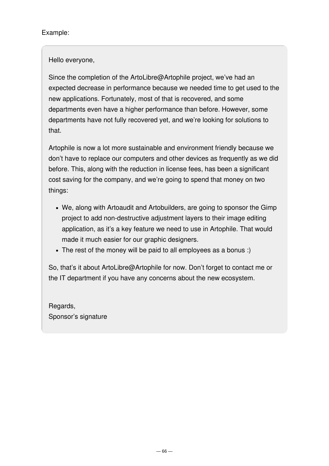Example:

Hello everyone,

Since the completion of the ArtoLibre@Artophile project, we've had an expected decrease in performance because we needed time to get used to the new applications. Fortunately, most of that is recovered, and some departments even have a higher performance than before. However, some departments have not fully recovered yet, and we're looking for solutions to that.

Artophile is now a lot more sustainable and environment friendly because we don't have to replace our computers and other devices as frequently as we did before. This, along with the reduction in license fees, has been a significant cost saving for the company, and we're going to spend that money on two things:

- We, along with Artoaudit and Artobuilders, are going to sponsor the Gimp project to add non-destructive adjustment layers to their image editing application, as it's a key feature we need to use in Artophile. That would made it much easier for our graphic designers.
- The rest of the money will be paid to all employees as a bonus :)

So, that's it about ArtoLibre@Artophile for now. Don't forget to contact me or the IT department if you have any concerns about the new ecosystem.

Regards, Sponsor's signature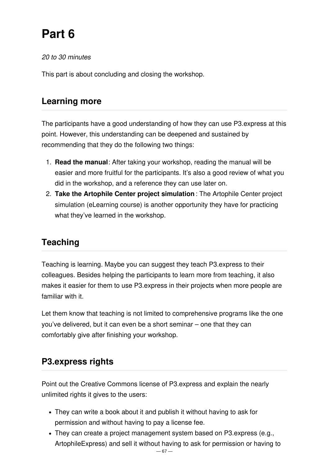# **Part 6**

*20 to 30 minutes*

This part is about concluding and closing the workshop.

# **Learning more**

The participants have a good understanding of how they can use P3.express at this point. However, this understanding can be deepened and sustained by recommending that they do the following two things:

- 1. **Read the manual**: After taking your workshop, reading the manual will be easier and more fruitful for the participants. It's also a good review of what you did in the workshop, and a reference they can use later on.
- 2. **Take the Artophile Center project simulation** : The Artophile Center project simulation (eLearning course) is another opportunity they have for practicing what they've learned in the workshop.

# **Teaching**

Teaching is learning. Maybe you can suggest they teach P3.express to their colleagues. Besides helping the participants to learn more from teaching, it also makes it easier for them to use P3.express in their projects when more people are familiar with it.

Let them know that teaching is not limited to comprehensive programs like the one you've delivered, but it can even be a short seminar – one that they can comfortably give after finishing your workshop.

# **P3.express rights**

Point out the Creative Commons license of P3.express and explain the nearly unlimited rights it gives to the users:

- They can write a book about it and publish it without having to ask for permission and without having to pay a license fee.
- They can create a project management system based on P3.express (e.g., ArtophileExpress) and sell it without having to ask for permission or having to